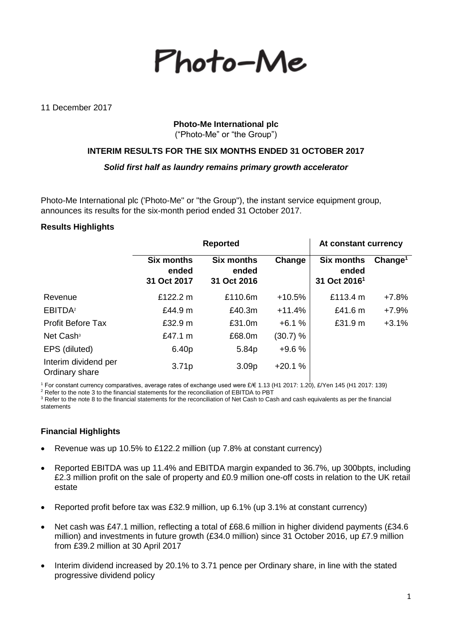Photo-Me

11 December 2017

## **Photo-Me International plc** ("Photo-Me" or "the Group")

**INTERIM RESULTS FOR THE SIX MONTHS ENDED 31 OCTOBER 2017**

*Solid first half as laundry remains primary growth accelerator*

Photo-Me International plc ('Photo-Me" or "the Group"), the instant service equipment group, announces its results for the six-month period ended 31 October 2017.

### **Results Highlights**

|                                        | <b>Reported</b>                           |                                           |          | At constant currency                                   |                     |  |
|----------------------------------------|-------------------------------------------|-------------------------------------------|----------|--------------------------------------------------------|---------------------|--|
|                                        | <b>Six months</b><br>ended<br>31 Oct 2017 | <b>Six months</b><br>ended<br>31 Oct 2016 | Change   | <b>Six months</b><br>ended<br>31 Oct 2016 <sup>1</sup> | Change <sup>1</sup> |  |
| Revenue                                | £122.2 m                                  | £110.6m                                   | $+10.5%$ | £113.4 $m$                                             | $+7.8%$             |  |
| EBITDA <sup>2</sup>                    | £44.9 m                                   | £40.3m                                    | $+11.4%$ | £41.6 $m$                                              | $+7.9%$             |  |
| <b>Profit Before Tax</b>               | £32.9 m                                   | £31.0m                                    | $+6.1%$  | £31.9 m                                                | $+3.1%$             |  |
| Net Cash <sup>3</sup>                  | £47.1 m                                   | £68.0m                                    | (30.7) % |                                                        |                     |  |
| EPS (diluted)                          | 6.40p                                     | 5.84p                                     | $+9.6%$  |                                                        |                     |  |
| Interim dividend per<br>Ordinary share | 3.71p                                     | 3.09 <sub>p</sub>                         | $+20.1%$ |                                                        |                     |  |

<sup>1</sup> For constant currency comparatives, average rates of exchange used were £/€ 1.13 (H1 2017: 1.20), £/Yen 145 (H1 2017: 139)

 $2$  Refer to the note 3 to the financial statements for the reconciliation of EBITDA to PBT

<sup>3</sup> Refer to the note 8 to the financial statements for the reconciliation of Net Cash to Cash and cash equivalents as per the financial statements

# **Financial Highlights**

- Revenue was up 10.5% to £122.2 million (up 7.8% at constant currency)
- Reported EBITDA was up 11.4% and EBITDA margin expanded to 36.7%, up 300bpts, including £2.3 million profit on the sale of property and £0.9 million one-off costs in relation to the UK retail estate
- Reported profit before tax was £32.9 million, up 6.1% (up 3.1% at constant currency)
- Net cash was £47.1 million, reflecting a total of £68.6 million in higher dividend payments (£34.6 million) and investments in future growth (£34.0 million) since 31 October 2016, up £7.9 million from £39.2 million at 30 April 2017
- Interim dividend increased by 20.1% to 3.71 pence per Ordinary share, in line with the stated progressive dividend policy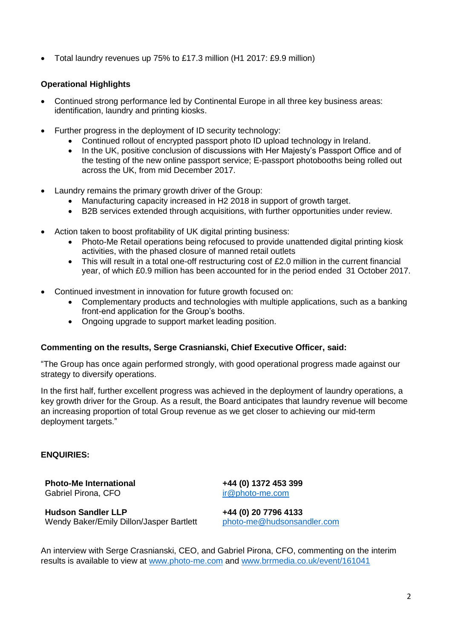• Total laundry revenues up 75% to £17.3 million (H1 2017: £9.9 million)

# **Operational Highlights**

- Continued strong performance led by Continental Europe in all three key business areas: identification, laundry and printing kiosks.
- Further progress in the deployment of ID security technology:
	- Continued rollout of encrypted passport photo ID upload technology in Ireland.
	- In the UK, positive conclusion of discussions with Her Majesty's Passport Office and of the testing of the new online passport service; E-passport photobooths being rolled out across the UK, from mid December 2017.
- Laundry remains the primary growth driver of the Group:
	- Manufacturing capacity increased in H2 2018 in support of growth target.
	- B2B services extended through acquisitions, with further opportunities under review.
- Action taken to boost profitability of UK digital printing business:
	- Photo-Me Retail operations being refocused to provide unattended digital printing kiosk activities, with the phased closure of manned retail outlets
	- This will result in a total one-off restructuring cost of £2.0 million in the current financial year, of which £0.9 million has been accounted for in the period ended 31 October 2017.
- Continued investment in innovation for future growth focused on:
	- Complementary products and technologies with multiple applications, such as a banking front-end application for the Group's booths.
	- Ongoing upgrade to support market leading position.

### **Commenting on the results, Serge Crasnianski, Chief Executive Officer, said:**

"The Group has once again performed strongly, with good operational progress made against our strategy to diversify operations.

In the first half, further excellent progress was achieved in the deployment of laundry operations, a key growth driver for the Group. As a result, the Board anticipates that laundry revenue will become an increasing proportion of total Group revenue as we get closer to achieving our mid-term deployment targets."

### **ENQUIRIES:**

**Photo-Me International +44 (0) 1372 453 399** Gabriel Pirona, CFO [ir@photo-me.com](mailto:ir@photo-me.com)

**Hudson Sandler LLP +44 (0) 20 7796 4133** Wendy Baker/Emily Dillon/Jasper Bartlett [photo-me@hudsonsandler.com](mailto:photo-me@hudsonsandler.com)

An interview with Serge Crasnianski, CEO, and Gabriel Pirona, CFO, commenting on the interim results is available to view at [www.photo-me.com](http://www.photo-me.com/) and [www.brrmedia.co.uk/event/161041](http://www.brrmedia.co.uk/event/161041)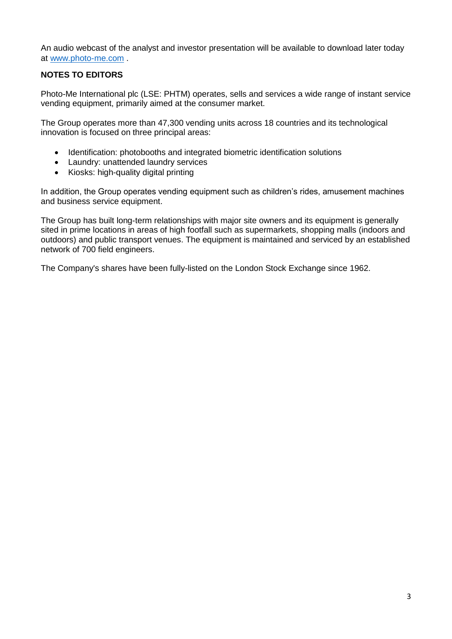An audio webcast of the analyst and investor presentation will be available to download later today at [www.photo-me.com](http://www.photo-me.com/) .

# **NOTES TO EDITORS**

Photo-Me International plc (LSE: PHTM) operates, sells and services a wide range of instant service vending equipment, primarily aimed at the consumer market.

The Group operates more than 47,300 vending units across 18 countries and its technological innovation is focused on three principal areas:

- Identification: photobooths and integrated biometric identification solutions
- Laundry: unattended laundry services
- Kiosks: high-quality digital printing

In addition, the Group operates vending equipment such as children's rides, amusement machines and business service equipment.

The Group has built long-term relationships with major site owners and its equipment is generally sited in prime locations in areas of high footfall such as supermarkets, shopping malls (indoors and outdoors) and public transport venues. The equipment is maintained and serviced by an established network of 700 field engineers.

The Company's shares have been fully-listed on the London Stock Exchange since 1962.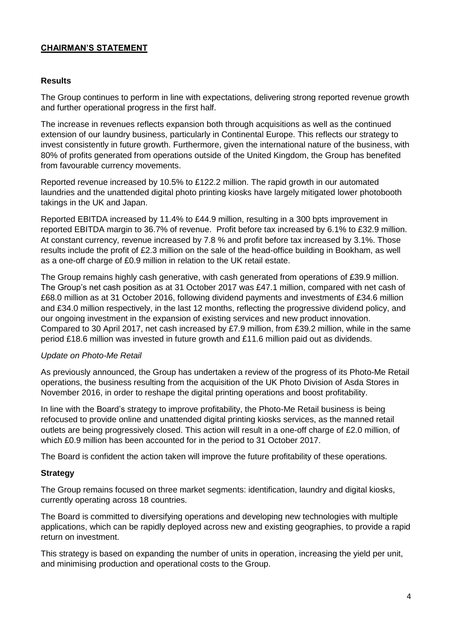# **CHAIRMAN'S STATEMENT**

### **Results**

The Group continues to perform in line with expectations, delivering strong reported revenue growth and further operational progress in the first half.

The increase in revenues reflects expansion both through acquisitions as well as the continued extension of our laundry business, particularly in Continental Europe. This reflects our strategy to invest consistently in future growth. Furthermore, given the international nature of the business, with 80% of profits generated from operations outside of the United Kingdom, the Group has benefited from favourable currency movements.

Reported revenue increased by 10.5% to £122.2 million. The rapid growth in our automated laundries and the unattended digital photo printing kiosks have largely mitigated lower photobooth takings in the UK and Japan.

Reported EBITDA increased by 11.4% to £44.9 million, resulting in a 300 bpts improvement in reported EBITDA margin to 36.7% of revenue. Profit before tax increased by 6.1% to £32.9 million. At constant currency, revenue increased by 7.8 % and profit before tax increased by 3.1%. Those results include the profit of £2.3 million on the sale of the head-office building in Bookham, as well as a one-off charge of £0.9 million in relation to the UK retail estate.

The Group remains highly cash generative, with cash generated from operations of £39.9 million. The Group's net cash position as at 31 October 2017 was £47.1 million, compared with net cash of £68.0 million as at 31 October 2016, following dividend payments and investments of £34.6 million and £34.0 million respectively, in the last 12 months, reflecting the progressive dividend policy, and our ongoing investment in the expansion of existing services and new product innovation. Compared to 30 April 2017, net cash increased by £7.9 million, from £39.2 million, while in the same period £18.6 million was invested in future growth and £11.6 million paid out as dividends.

### *Update on Photo-Me Retail*

As previously announced, the Group has undertaken a review of the progress of its Photo-Me Retail operations, the business resulting from the acquisition of the UK Photo Division of Asda Stores in November 2016, in order to reshape the digital printing operations and boost profitability.

In line with the Board's strategy to improve profitability, the Photo-Me Retail business is being refocused to provide online and unattended digital printing kiosks services, as the manned retail outlets are being progressively closed. This action will result in a one-off charge of £2.0 million, of which £0.9 million has been accounted for in the period to 31 October 2017.

The Board is confident the action taken will improve the future profitability of these operations.

### **Strategy**

The Group remains focused on three market segments: identification, laundry and digital kiosks, currently operating across 18 countries.

The Board is committed to diversifying operations and developing new technologies with multiple applications, which can be rapidly deployed across new and existing geographies, to provide a rapid return on investment.

This strategy is based on expanding the number of units in operation, increasing the yield per unit, and minimising production and operational costs to the Group.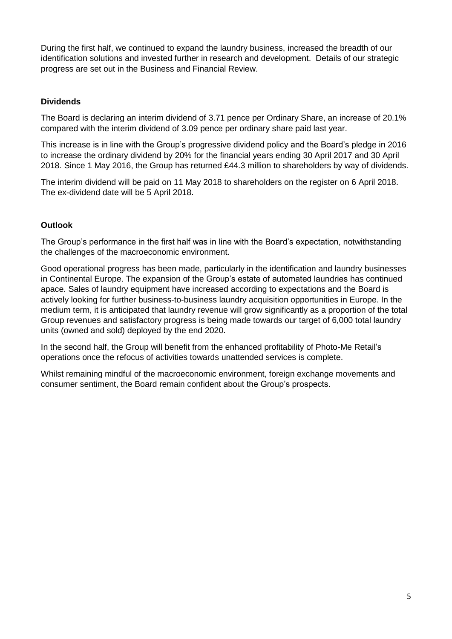During the first half, we continued to expand the laundry business, increased the breadth of our identification solutions and invested further in research and development. Details of our strategic progress are set out in the Business and Financial Review.

# **Dividends**

The Board is declaring an interim dividend of 3.71 pence per Ordinary Share, an increase of 20.1% compared with the interim dividend of 3.09 pence per ordinary share paid last year.

This increase is in line with the Group's progressive dividend policy and the Board's pledge in 2016 to increase the ordinary dividend by 20% for the financial years ending 30 April 2017 and 30 April 2018. Since 1 May 2016, the Group has returned £44.3 million to shareholders by way of dividends.

The interim dividend will be paid on 11 May 2018 to shareholders on the register on 6 April 2018. The ex-dividend date will be 5 April 2018.

## **Outlook**

The Group's performance in the first half was in line with the Board's expectation, notwithstanding the challenges of the macroeconomic environment.

Good operational progress has been made, particularly in the identification and laundry businesses in Continental Europe. The expansion of the Group's estate of automated laundries has continued apace. Sales of laundry equipment have increased according to expectations and the Board is actively looking for further business-to-business laundry acquisition opportunities in Europe. In the medium term, it is anticipated that laundry revenue will grow significantly as a proportion of the total Group revenues and satisfactory progress is being made towards our target of 6,000 total laundry units (owned and sold) deployed by the end 2020.

In the second half, the Group will benefit from the enhanced profitability of Photo-Me Retail's operations once the refocus of activities towards unattended services is complete.

Whilst remaining mindful of the macroeconomic environment, foreign exchange movements and consumer sentiment, the Board remain confident about the Group's prospects.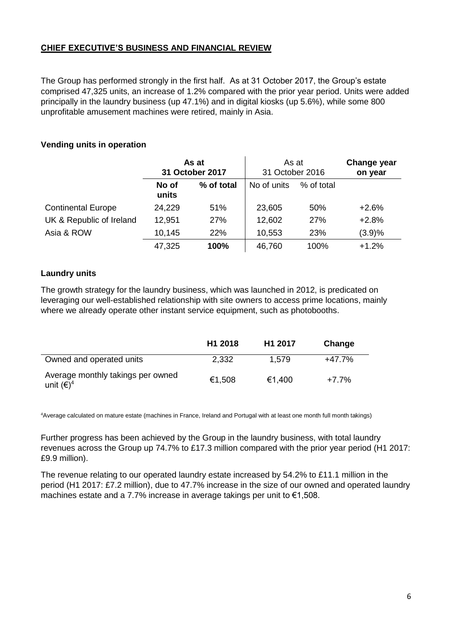# **CHIEF EXECUTIVE'S BUSINESS AND FINANCIAL REVIEW**

The Group has performed strongly in the first half. As at 31 October 2017, the Group's estate comprised 47,325 units, an increase of 1.2% compared with the prior year period. Units were added principally in the laundry business (up 47.1%) and in digital kiosks (up 5.6%), while some 800 unprofitable amusement machines were retired, mainly in Asia.

## **Vending units in operation**

|                           | As at<br>31 October 2017 |            | As at<br>31 October 2016 |            | <b>Change year</b><br>on year |
|---------------------------|--------------------------|------------|--------------------------|------------|-------------------------------|
|                           | No of<br>units           | % of total | No of units              | % of total |                               |
| <b>Continental Europe</b> | 24,229                   | 51%        | 23,605                   | 50%        | $+2.6%$                       |
| UK & Republic of Ireland  | 12,951                   | 27%        | 12,602                   | 27%        | $+2.8%$                       |
| Asia & ROW                | 10,145                   | 22%        | 10,553                   | 23%        | (3.9)%                        |
|                           | 47,325                   | 100%       | 46,760                   | 100%       | $+1.2%$                       |

## **Laundry units**

The growth strategy for the laundry business, which was launched in 2012, is predicated on leveraging our well-established relationship with site owners to access prime locations, mainly where we already operate other instant service equipment, such as photobooths.

|                                                          | H <sub>1</sub> 2018 | H <sub>1</sub> 2017 | Change   |
|----------------------------------------------------------|---------------------|---------------------|----------|
| Owned and operated units                                 | 2,332               | 1.579               | $+47.7%$ |
| Average monthly takings per owned<br>unit $(\epsilon)^4$ | €1,508              | €1.400              | +7.7%    |

<sup>4</sup>Average calculated on mature estate (machines in France, Ireland and Portugal with at least one month full month takings)

Further progress has been achieved by the Group in the laundry business, with total laundry revenues across the Group up 74.7% to £17.3 million compared with the prior year period (H1 2017: £9.9 million).

The revenue relating to our operated laundry estate increased by 54.2% to £11.1 million in the period (H1 2017: £7.2 million), due to 47.7% increase in the size of our owned and operated laundry machines estate and a 7.7% increase in average takings per unit to €1,508.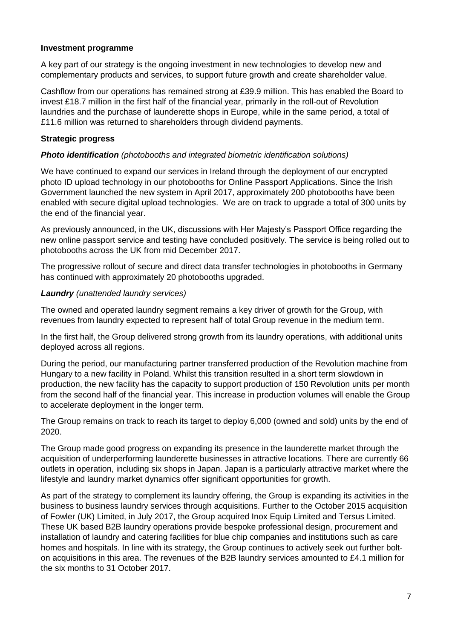### **Investment programme**

A key part of our strategy is the ongoing investment in new technologies to develop new and complementary products and services, to support future growth and create shareholder value.

Cashflow from our operations has remained strong at £39.9 million. This has enabled the Board to invest £18.7 million in the first half of the financial year, primarily in the roll-out of Revolution laundries and the purchase of launderette shops in Europe, while in the same period, a total of £11.6 million was returned to shareholders through dividend payments.

### **Strategic progress**

### *Photo identification (photobooths and integrated biometric identification solutions)*

We have continued to expand our services in Ireland through the deployment of our encrypted photo ID upload technology in our photobooths for Online Passport Applications. Since the Irish Government launched the new system in April 2017, approximately 200 photobooths have been enabled with secure digital upload technologies. We are on track to upgrade a total of 300 units by the end of the financial year.

As previously announced, in the UK, discussions with Her Majesty's Passport Office regarding the new online passport service and testing have concluded positively. The service is being rolled out to photobooths across the UK from mid December 2017.

The progressive rollout of secure and direct data transfer technologies in photobooths in Germany has continued with approximately 20 photobooths upgraded.

### *Laundry (unattended laundry services)*

The owned and operated laundry segment remains a key driver of growth for the Group, with revenues from laundry expected to represent half of total Group revenue in the medium term.

In the first half, the Group delivered strong growth from its laundry operations, with additional units deployed across all regions.

During the period, our manufacturing partner transferred production of the Revolution machine from Hungary to a new facility in Poland. Whilst this transition resulted in a short term slowdown in production, the new facility has the capacity to support production of 150 Revolution units per month from the second half of the financial year. This increase in production volumes will enable the Group to accelerate deployment in the longer term.

The Group remains on track to reach its target to deploy 6,000 (owned and sold) units by the end of 2020.

The Group made good progress on expanding its presence in the launderette market through the acquisition of underperforming launderette businesses in attractive locations. There are currently 66 outlets in operation, including six shops in Japan. Japan is a particularly attractive market where the lifestyle and laundry market dynamics offer significant opportunities for growth.

As part of the strategy to complement its laundry offering, the Group is expanding its activities in the business to business laundry services through acquisitions. Further to the October 2015 acquisition of Fowler (UK) Limited, in July 2017, the Group acquired Inox Equip Limited and Tersus Limited. These UK based B2B laundry operations provide bespoke professional design, procurement and installation of laundry and catering facilities for blue chip companies and institutions such as care homes and hospitals. In line with its strategy, the Group continues to actively seek out further bolton acquisitions in this area. The revenues of the B2B laundry services amounted to £4.1 million for the six months to 31 October 2017.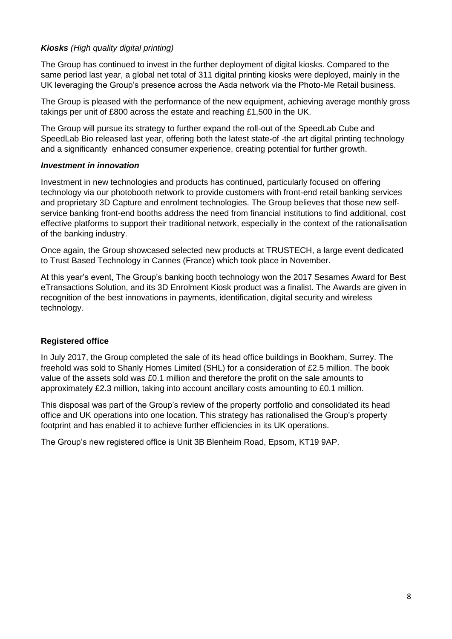# *Kiosks (High quality digital printing)*

The Group has continued to invest in the further deployment of digital kiosks. Compared to the same period last year, a global net total of 311 digital printing kiosks were deployed, mainly in the UK leveraging the Group's presence across the Asda network via the Photo-Me Retail business.

The Group is pleased with the performance of the new equipment, achieving average monthly gross takings per unit of £800 across the estate and reaching £1,500 in the UK.

The Group will pursue its strategy to further expand the roll-out of the SpeedLab Cube and SpeedLab Bio released last year, offering both the latest state-of -the art digital printing technology and a significantly enhanced consumer experience, creating potential for further growth.

## *Investment in innovation*

Investment in new technologies and products has continued, particularly focused on offering technology via our photobooth network to provide customers with front-end retail banking services and proprietary 3D Capture and enrolment technologies. The Group believes that those new selfservice banking front-end booths address the need from financial institutions to find additional, cost effective platforms to support their traditional network, especially in the context of the rationalisation of the banking industry.

Once again, the Group showcased selected new products at TRUSTECH, a large event dedicated to Trust Based Technology in Cannes (France) which took place in November.

At this year's event, The Group's banking booth technology won the 2017 Sesames Award for Best eTransactions Solution, and its 3D Enrolment Kiosk product was a finalist. The Awards are given in recognition of the best innovations in payments, identification, digital security and wireless technology.

# **Registered office**

In July 2017, the Group completed the sale of its head office buildings in Bookham, Surrey. The freehold was sold to Shanly Homes Limited (SHL) for a consideration of £2.5 million. The book value of the assets sold was £0.1 million and therefore the profit on the sale amounts to approximately £2.3 million, taking into account ancillary costs amounting to £0.1 million.

This disposal was part of the Group's review of the property portfolio and consolidated its head office and UK operations into one location. This strategy has rationalised the Group's property footprint and has enabled it to achieve further efficiencies in its UK operations.

The Group's new registered office is Unit 3B Blenheim Road, Epsom, KT19 9AP.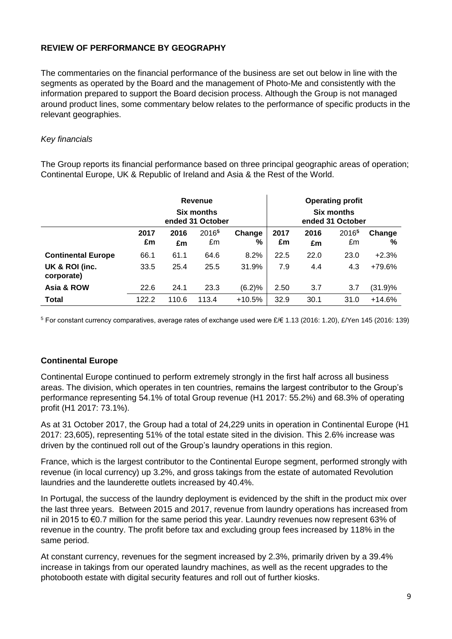# **REVIEW OF PERFORMANCE BY GEOGRAPHY**

The commentaries on the financial performance of the business are set out below in line with the segments as operated by the Board and the management of Photo-Me and consistently with the information prepared to support the Board decision process. Although the Group is not managed around product lines, some commentary below relates to the performance of specific products in the relevant geographies.

## *Key financials*

The Group reports its financial performance based on three principal geographic areas of operation; Continental Europe, UK & Republic of Ireland and Asia & the Rest of the World.

|                              | <b>Revenue</b><br><b>Six months</b><br>ended 31 October |            |                         |             |            | <b>Operating profit</b><br><b>Six months</b><br>ended 31 October |                         |             |
|------------------------------|---------------------------------------------------------|------------|-------------------------|-------------|------------|------------------------------------------------------------------|-------------------------|-------------|
|                              | 2017<br>£m                                              | 2016<br>£m | 2016 <sup>5</sup><br>£m | Change<br>% | 2017<br>£m | 2016<br>£m                                                       | 2016 <sup>5</sup><br>£m | Change<br>% |
| <b>Continental Europe</b>    | 66.1                                                    | 61.1       | 64.6                    | 8.2%        | 22.5       | 22.0                                                             | 23.0                    | $+2.3%$     |
| UK & ROI (inc.<br>corporate) | 33.5                                                    | 25.4       | 25.5                    | 31.9%       | 7.9        | 4.4                                                              | 4.3                     | +79.6%      |
| Asia & ROW                   | 22.6                                                    | 24.1       | 23.3                    | (6.2)%      | 2.50       | 3.7                                                              | 3.7                     | (31.9)%     |
| <b>Total</b>                 | 122.2                                                   | 110.6      | 113.4                   | $+10.5%$    | 32.9       | 30.1                                                             | 31.0                    | $+14.6%$    |

<sup>5</sup> For constant currency comparatives, average rates of exchange used were £/€ 1.13 (2016: 1.20), £/Yen 145 (2016: 139)

### **Continental Europe**

Continental Europe continued to perform extremely strongly in the first half across all business areas. The division, which operates in ten countries, remains the largest contributor to the Group's performance representing 54.1% of total Group revenue (H1 2017: 55.2%) and 68.3% of operating profit (H1 2017: 73.1%).

As at 31 October 2017, the Group had a total of 24,229 units in operation in Continental Europe (H1 2017: 23,605), representing 51% of the total estate sited in the division. This 2.6% increase was driven by the continued roll out of the Group's laundry operations in this region.

France, which is the largest contributor to the Continental Europe segment, performed strongly with revenue (in local currency) up 3.2%, and gross takings from the estate of automated Revolution laundries and the launderette outlets increased by 40.4%.

In Portugal, the success of the laundry deployment is evidenced by the shift in the product mix over the last three years. Between 2015 and 2017, revenue from laundry operations has increased from nil in 2015 to €0.7 million for the same period this year. Laundry revenues now represent 63% of revenue in the country. The profit before tax and excluding group fees increased by 118% in the same period.

At constant currency, revenues for the segment increased by 2.3%, primarily driven by a 39.4% increase in takings from our operated laundry machines, as well as the recent upgrades to the photobooth estate with digital security features and roll out of further kiosks.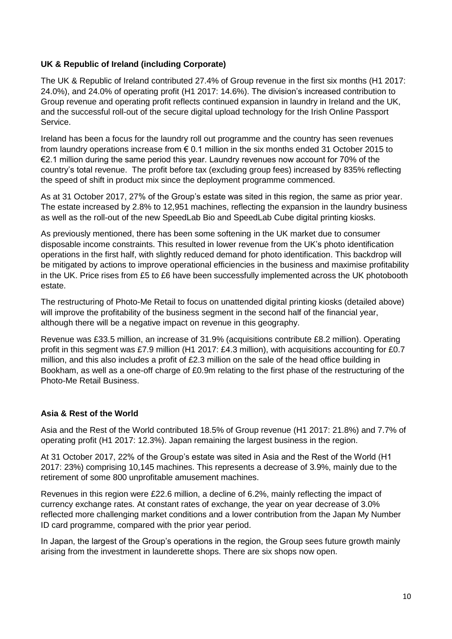# **UK & Republic of Ireland (including Corporate)**

The UK & Republic of Ireland contributed 27.4% of Group revenue in the first six months (H1 2017: 24.0%), and 24.0% of operating profit (H1 2017: 14.6%). The division's increased contribution to Group revenue and operating profit reflects continued expansion in laundry in Ireland and the UK, and the successful roll-out of the secure digital upload technology for the Irish Online Passport Service.

Ireland has been a focus for the laundry roll out programme and the country has seen revenues from laundry operations increase from € 0.1 million in the six months ended 31 October 2015 to €2.1 million during the same period this year. Laundry revenues now account for 70% of the country's total revenue. The profit before tax (excluding group fees) increased by 835% reflecting the speed of shift in product mix since the deployment programme commenced.

As at 31 October 2017, 27% of the Group's estate was sited in this region, the same as prior year. The estate increased by 2.8% to 12,951 machines, reflecting the expansion in the laundry business as well as the roll-out of the new SpeedLab Bio and SpeedLab Cube digital printing kiosks.

As previously mentioned, there has been some softening in the UK market due to consumer disposable income constraints. This resulted in lower revenue from the UK's photo identification operations in the first half, with slightly reduced demand for photo identification. This backdrop will be mitigated by actions to improve operational efficiencies in the business and maximise profitability in the UK. Price rises from £5 to £6 have been successfully implemented across the UK photobooth estate.

The restructuring of Photo-Me Retail to focus on unattended digital printing kiosks (detailed above) will improve the profitability of the business segment in the second half of the financial year, although there will be a negative impact on revenue in this geography.

Revenue was £33.5 million, an increase of 31.9% (acquisitions contribute £8.2 million). Operating profit in this segment was £7.9 million (H1 2017: £4.3 million), with acquisitions accounting for £0.7 million, and this also includes a profit of £2.3 million on the sale of the head office building in Bookham, as well as a one-off charge of £0.9m relating to the first phase of the restructuring of the Photo-Me Retail Business.

# **Asia & Rest of the World**

Asia and the Rest of the World contributed 18.5% of Group revenue (H1 2017: 21.8%) and 7.7% of operating profit (H1 2017: 12.3%). Japan remaining the largest business in the region.

At 31 October 2017, 22% of the Group's estate was sited in Asia and the Rest of the World (H1 2017: 23%) comprising 10,145 machines. This represents a decrease of 3.9%, mainly due to the retirement of some 800 unprofitable amusement machines.

Revenues in this region were £22.6 million, a decline of 6.2%, mainly reflecting the impact of currency exchange rates. At constant rates of exchange, the year on year decrease of 3.0% reflected more challenging market conditions and a lower contribution from the Japan My Number ID card programme, compared with the prior year period.

In Japan, the largest of the Group's operations in the region, the Group sees future growth mainly arising from the investment in launderette shops. There are six shops now open.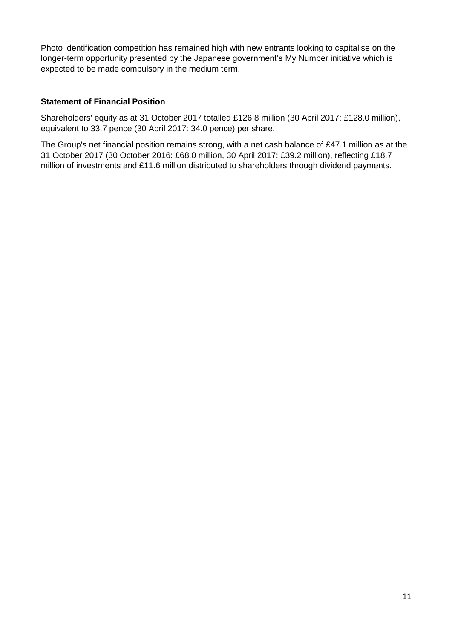Photo identification competition has remained high with new entrants looking to capitalise on the longer-term opportunity presented by the Japanese government's My Number initiative which is expected to be made compulsory in the medium term.

## **Statement of Financial Position**

Shareholders' equity as at 31 October 2017 totalled £126.8 million (30 April 2017: £128.0 million), equivalent to 33.7 pence (30 April 2017: 34.0 pence) per share.

The Group's net financial position remains strong, with a net cash balance of £47.1 million as at the 31 October 2017 (30 October 2016: £68.0 million, 30 April 2017: £39.2 million), reflecting £18.7 million of investments and £11.6 million distributed to shareholders through dividend payments.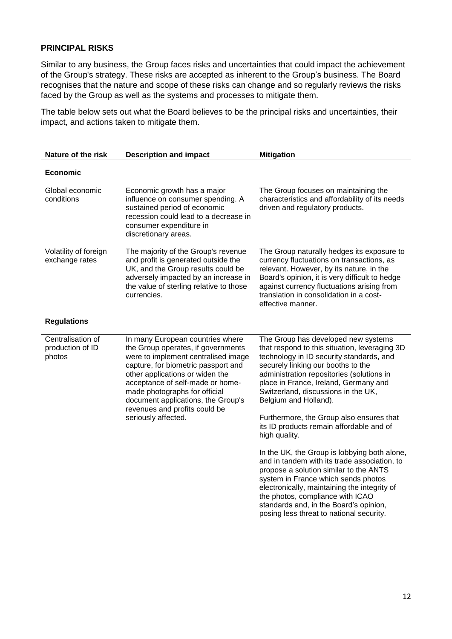# **PRINCIPAL RISKS**

Similar to any business, the Group faces risks and uncertainties that could impact the achievement of the Group's strategy. These risks are accepted as inherent to the Group's business. The Board recognises that the nature and scope of these risks can change and so regularly reviews the risks faced by the Group as well as the systems and processes to mitigate them.

The table below sets out what the Board believes to be the principal risks and uncertainties, their impact, and actions taken to mitigate them.

| Nature of the risk                              | <b>Description and impact</b>                                                                                                                                                                                                                                                                                                                              | <b>Mitigation</b>                                                                                                                                                                                                                                                                                                                                                                                                    |
|-------------------------------------------------|------------------------------------------------------------------------------------------------------------------------------------------------------------------------------------------------------------------------------------------------------------------------------------------------------------------------------------------------------------|----------------------------------------------------------------------------------------------------------------------------------------------------------------------------------------------------------------------------------------------------------------------------------------------------------------------------------------------------------------------------------------------------------------------|
| <b>Economic</b>                                 |                                                                                                                                                                                                                                                                                                                                                            |                                                                                                                                                                                                                                                                                                                                                                                                                      |
| Global economic<br>conditions                   | Economic growth has a major<br>influence on consumer spending. A<br>sustained period of economic<br>recession could lead to a decrease in<br>consumer expenditure in<br>discretionary areas.                                                                                                                                                               | The Group focuses on maintaining the<br>characteristics and affordability of its needs<br>driven and regulatory products.                                                                                                                                                                                                                                                                                            |
| Volatility of foreign<br>exchange rates         | The majority of the Group's revenue<br>and profit is generated outside the<br>UK, and the Group results could be<br>adversely impacted by an increase in<br>the value of sterling relative to those<br>currencies.                                                                                                                                         | The Group naturally hedges its exposure to<br>currency fluctuations on transactions, as<br>relevant. However, by its nature, in the<br>Board's opinion, it is very difficult to hedge<br>against currency fluctuations arising from<br>translation in consolidation in a cost-<br>effective manner.                                                                                                                  |
| <b>Regulations</b>                              |                                                                                                                                                                                                                                                                                                                                                            |                                                                                                                                                                                                                                                                                                                                                                                                                      |
| Centralisation of<br>production of ID<br>photos | In many European countries where<br>the Group operates, if governments<br>were to implement centralised image<br>capture, for biometric passport and<br>other applications or widen the<br>acceptance of self-made or home-<br>made photographs for official<br>document applications, the Group's<br>revenues and profits could be<br>seriously affected. | The Group has developed new systems<br>that respond to this situation, leveraging 3D<br>technology in ID security standards, and<br>securely linking our booths to the<br>administration repositories (solutions in<br>place in France, Ireland, Germany and<br>Switzerland, discussions in the UK,<br>Belgium and Holland).<br>Furthermore, the Group also ensures that<br>its ID products remain affordable and of |
|                                                 |                                                                                                                                                                                                                                                                                                                                                            | high quality.<br>In the UK, the Group is lobbying both alone,<br>and in tandem with its trade association, to<br>propose a solution similar to the ANTS<br>system in France which sends photos<br>electronically, maintaining the integrity of<br>the photos, compliance with ICAO<br>standards and, in the Board's opinion,<br>posing less threat to national security.                                             |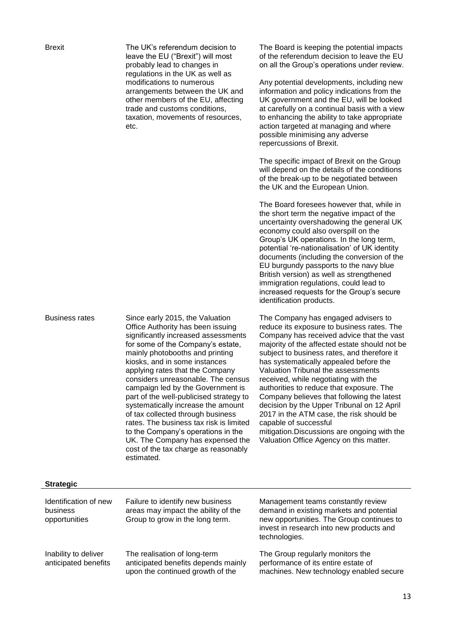The UK's referendum decision to leave the EU ("Brexit") will most probably lead to changes in regulations in the UK as well as modifications to numerous arrangements between the UK and other members of the EU, affecting trade and customs conditions, taxation, movements of resources, etc.

Business rates Since early 2015, the Valuation Office Authority has been issuing significantly increased assessments for some of the Company's estate, mainly photobooths and printing kiosks, and in some instances applying rates that the Company considers unreasonable. The census campaign led by the Government is part of the well-publicised strategy to systematically increase the amount of tax collected through business rates. The business tax risk is limited to the Company's operations in the UK. The Company has expensed the cost of the tax charge as reasonably estimated.

The Board is keeping the potential impacts of the referendum decision to leave the EU on all the Group's operations under review.

Any potential developments, including new information and policy indications from the UK government and the EU, will be looked at carefully on a continual basis with a view to enhancing the ability to take appropriate action targeted at managing and where possible minimising any adverse repercussions of Brexit.

The specific impact of Brexit on the Group will depend on the details of the conditions of the break-up to be negotiated between the UK and the European Union.

The Board foresees however that, while in the short term the negative impact of the uncertainty overshadowing the general UK economy could also overspill on the Group's UK operations. In the long term, potential 're-nationalisation' of UK identity documents (including the conversion of the EU burgundy passports to the navy blue British version) as well as strengthened immigration regulations, could lead to increased requests for the Group's secure identification products.

The Company has engaged advisers to reduce its exposure to business rates. The Company has received advice that the vast majority of the affected estate should not be subject to business rates, and therefore it has systematically appealed before the Valuation Tribunal the assessments received, while negotiating with the authorities to reduce that exposure. The Company believes that following the latest decision by the Upper Tribunal on 12 April 2017 in the ATM case, the risk should be capable of successful mitigation.Discussions are ongoing with the Valuation Office Agency on this matter.

| Identification of new<br>business<br>opportunities | Failure to identify new business<br>areas may impact the ability of the<br>Group to grow in the long term. | Management teams constantly review<br>demand in existing markets and potential<br>new opportunities. The Group continues to<br>invest in research into new products and<br>technologies. |
|----------------------------------------------------|------------------------------------------------------------------------------------------------------------|------------------------------------------------------------------------------------------------------------------------------------------------------------------------------------------|
| Inability to deliver<br>anticipated benefits       | The realisation of long-term<br>anticipated benefits depends mainly<br>upon the continued growth of the    | The Group regularly monitors the<br>performance of its entire estate of<br>machines. New technology enabled secure                                                                       |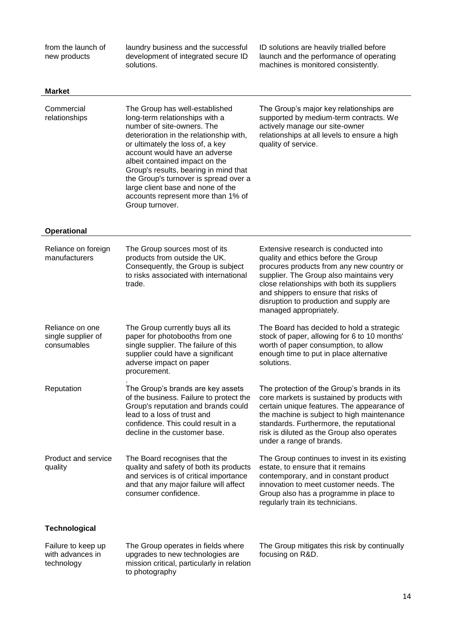from the launch of new products

laundry business and the successful development of integrated secure ID solutions.

ID solutions are heavily trialled before launch and the performance of operating machines is monitored consistently.

| <b>Market</b>                                        |                                                                                                                                                                                                                                                                                                                                                                                                                                  |                                                                                                                                                                                                                                                                                                                                 |
|------------------------------------------------------|----------------------------------------------------------------------------------------------------------------------------------------------------------------------------------------------------------------------------------------------------------------------------------------------------------------------------------------------------------------------------------------------------------------------------------|---------------------------------------------------------------------------------------------------------------------------------------------------------------------------------------------------------------------------------------------------------------------------------------------------------------------------------|
| Commercial<br>relationships                          | The Group has well-established<br>long-term relationships with a<br>number of site-owners. The<br>deterioration in the relationship with,<br>or ultimately the loss of, a key<br>account would have an adverse<br>albeit contained impact on the<br>Group's results, bearing in mind that<br>the Group's turnover is spread over a<br>large client base and none of the<br>accounts represent more than 1% of<br>Group turnover. | The Group's major key relationships are<br>supported by medium-term contracts. We<br>actively manage our site-owner<br>relationships at all levels to ensure a high<br>quality of service.                                                                                                                                      |
| <b>Operational</b>                                   |                                                                                                                                                                                                                                                                                                                                                                                                                                  |                                                                                                                                                                                                                                                                                                                                 |
| Reliance on foreign<br>manufacturers                 | The Group sources most of its<br>products from outside the UK.<br>Consequently, the Group is subject<br>to risks associated with international<br>trade.                                                                                                                                                                                                                                                                         | Extensive research is conducted into<br>quality and ethics before the Group<br>procures products from any new country or<br>supplier. The Group also maintains very<br>close relationships with both its suppliers<br>and shippers to ensure that risks of<br>disruption to production and supply are<br>managed appropriately. |
| Reliance on one<br>single supplier of<br>consumables | The Group currently buys all its<br>paper for photobooths from one<br>single supplier. The failure of this<br>supplier could have a significant<br>adverse impact on paper<br>procurement.                                                                                                                                                                                                                                       | The Board has decided to hold a strategic<br>stock of paper, allowing for 6 to 10 months'<br>worth of paper consumption, to allow<br>enough time to put in place alternative<br>solutions.                                                                                                                                      |
| Reputation                                           | The Group's brands are key assets<br>of the business. Failure to protect the<br>Group's reputation and brands could<br>lead to a loss of trust and<br>confidence. This could result in a<br>decline in the customer base.                                                                                                                                                                                                        | The protection of the Group's brands in its<br>core markets is sustained by products with<br>certain unique features. The appearance of<br>the machine is subject to high maintenance<br>standards. Furthermore, the reputational<br>risk is diluted as the Group also operates<br>under a range of brands.                     |
| Product and service<br>quality                       | The Board recognises that the<br>quality and safety of both its products<br>and services is of critical importance<br>and that any major failure will affect<br>consumer confidence.                                                                                                                                                                                                                                             | The Group continues to invest in its existing<br>estate, to ensure that it remains<br>contemporary, and in constant product<br>innovation to meet customer needs. The<br>Group also has a programme in place to<br>regularly train its technicians.                                                                             |
| <b>Technological</b>                                 |                                                                                                                                                                                                                                                                                                                                                                                                                                  |                                                                                                                                                                                                                                                                                                                                 |
| Failure to keep up<br>with advances in<br>technology | The Group operates in fields where<br>upgrades to new technologies are<br>mission critical, particularly in relation<br>to photography                                                                                                                                                                                                                                                                                           | The Group mitigates this risk by continually<br>focusing on R&D.                                                                                                                                                                                                                                                                |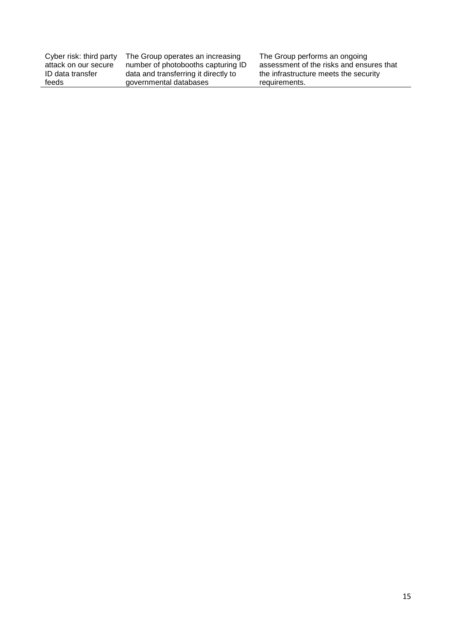| Cyber risk: third party | The Group operates an increasing     | The Group performs an ongoing            |
|-------------------------|--------------------------------------|------------------------------------------|
| attack on our secure    | number of photobooths capturing ID   | assessment of the risks and ensures that |
| ID data transfer        | data and transferring it directly to | the infrastructure meets the security    |
| feeds                   | governmental databases               | requirements.                            |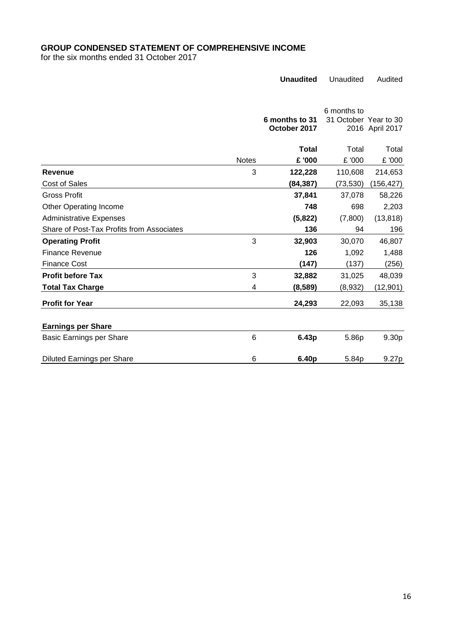# **GROUP CONDENSED STATEMENT OF COMPREHENSIVE INCOME**

for the six months ended 31 October 2017

|                                           |              | <b>Unaudited</b>               | Unaudited                            | Audited         |
|-------------------------------------------|--------------|--------------------------------|--------------------------------------|-----------------|
|                                           |              |                                |                                      |                 |
|                                           |              | 6 months to 31<br>October 2017 | 6 months to<br>31 October Year to 30 | 2016 April 2017 |
|                                           |              | <b>Total</b>                   | Total                                | Total           |
|                                           | <b>Notes</b> | £ '000                         | £ '000                               | £ '000          |
| Revenue                                   | 3            | 122,228                        | 110,608                              | 214,653         |
| <b>Cost of Sales</b>                      |              | (84,387)                       | (73, 530)                            | (156,427)       |
| Gross Profit                              |              | 37,841                         | 37,078                               | 58,226          |
| <b>Other Operating Income</b>             |              | 748                            | 698                                  | 2,203           |
| <b>Administrative Expenses</b>            |              | (5,822)                        | (7,800)                              | (13, 818)       |
| Share of Post-Tax Profits from Associates |              | 136                            | 94                                   | 196             |
| <b>Operating Profit</b>                   | 3            | 32,903                         | 30,070                               | 46,807          |
| <b>Finance Revenue</b>                    |              | 126                            | 1,092                                | 1,488           |
| Finance Cost                              |              | (147)                          | (137)                                | (256)           |
| <b>Profit before Tax</b>                  | 3            | 32,882                         | 31,025                               | 48,039          |
| <b>Total Tax Charge</b>                   | 4            | (8,589)                        | (8,932)                              | (12, 901)       |
| <b>Profit for Year</b>                    |              | 24,293                         | 22,093                               | 35,138          |
| <b>Earnings per Share</b>                 |              |                                |                                      |                 |
| Basic Earnings per Share                  | 6            | 6.43p                          | 5.86p                                | 9.30p           |
| <b>Diluted Earnings per Share</b>         | 6            | 6.40p                          | 5.84p                                | 9.27p           |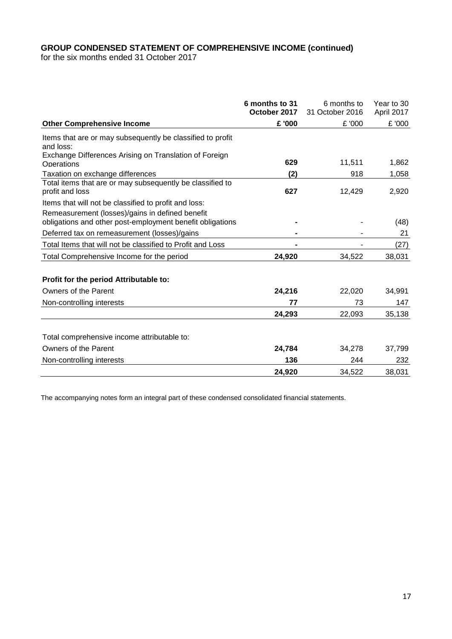# **GROUP CONDENSED STATEMENT OF COMPREHENSIVE INCOME (continued)**

for the six months ended 31 October 2017

|                                                                                                              | 6 months to 31<br>October 2017 | 6 months to<br>31 October 2016 | Year to 30<br>April 2017 |
|--------------------------------------------------------------------------------------------------------------|--------------------------------|--------------------------------|--------------------------|
| <b>Other Comprehensive Income</b>                                                                            | £ '000                         | £ '000                         | £ '000                   |
|                                                                                                              |                                |                                |                          |
| Items that are or may subsequently be classified to profit<br>and loss:                                      |                                |                                |                          |
| Exchange Differences Arising on Translation of Foreign<br>Operations                                         | 629                            | 11,511                         | 1,862                    |
| Taxation on exchange differences                                                                             | (2)                            | 918                            | 1,058                    |
| Total items that are or may subsequently be classified to<br>profit and loss                                 | 627                            | 12,429                         | 2,920                    |
| Items that will not be classified to profit and loss:                                                        |                                |                                |                          |
| Remeasurement (losses)/gains in defined benefit<br>obligations and other post-employment benefit obligations |                                |                                | (48)                     |
| Deferred tax on remeasurement (losses)/gains                                                                 |                                |                                | 21                       |
| Total Items that will not be classified to Profit and Loss                                                   |                                |                                | (27)                     |
| Total Comprehensive Income for the period                                                                    | 24,920                         | 34,522                         | 38,031                   |
| Profit for the period Attributable to:                                                                       |                                |                                |                          |
| Owners of the Parent                                                                                         | 24,216                         | 22,020                         | 34,991                   |
| Non-controlling interests                                                                                    | 77                             | 73                             | 147                      |
|                                                                                                              | 24,293                         | 22,093                         | 35,138                   |
| Total comprehensive income attributable to:                                                                  |                                |                                |                          |
| Owners of the Parent                                                                                         | 24,784                         | 34,278                         | 37,799                   |
| Non-controlling interests                                                                                    | 136                            | 244                            | 232                      |
|                                                                                                              | 24,920                         | 34,522                         | 38,031                   |

The accompanying notes form an integral part of these condensed consolidated financial statements.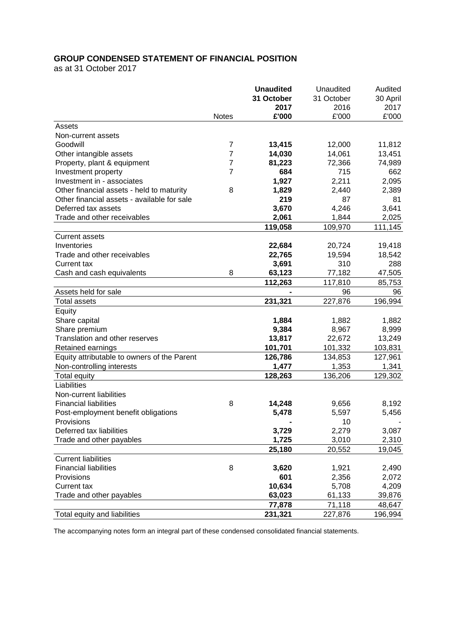# **GROUP CONDENSED STATEMENT OF FINANCIAL POSITION**

as at 31 October 2017

|                                             |              | <b>Unaudited</b> | Unaudited  | Audited  |
|---------------------------------------------|--------------|------------------|------------|----------|
|                                             |              | 31 October       | 31 October | 30 April |
|                                             |              | 2017             | 2016       | 2017     |
|                                             | <b>Notes</b> | £'000            | £'000      | £'000    |
| Assets                                      |              |                  |            |          |
| Non-current assets                          |              |                  |            |          |
| Goodwill                                    | 7            | 13,415           | 12,000     | 11,812   |
| Other intangible assets                     | 7            | 14,030           | 14,061     | 13,451   |
| Property, plant & equipment                 | 7            | 81,223           | 72,366     | 74,989   |
| Investment property                         | 7            | 684              | 715        | 662      |
| Investment in - associates                  |              | 1,927            | 2,211      | 2,095    |
| Other financial assets - held to maturity   | 8            | 1,829            | 2,440      | 2,389    |
| Other financial assets - available for sale |              | 219              | 87         | 81       |
| Deferred tax assets                         |              | 3,670            | 4,246      | 3,641    |
| Trade and other receivables                 |              | 2,061            | 1,844      | 2,025    |
|                                             |              | 119,058          | 109,970    | 111,145  |
| <b>Current assets</b>                       |              |                  |            |          |
| Inventories                                 |              | 22,684           | 20,724     | 19,418   |
| Trade and other receivables                 |              | 22,765           | 19,594     | 18,542   |
| Current tax                                 |              | 3,691            | 310        | 288      |
| Cash and cash equivalents                   | 8            | 63,123           | 77,182     | 47,505   |
|                                             |              | 112,263          | 117,810    | 85,753   |
| Assets held for sale                        |              |                  | 96         | 96       |
| <b>Total assets</b>                         |              | 231,321          | 227,876    | 196,994  |
| Equity                                      |              |                  |            |          |
| Share capital                               |              | 1,884            | 1,882      | 1,882    |
| Share premium                               |              | 9,384            | 8,967      | 8,999    |
| Translation and other reserves              |              | 13,817           | 22,672     | 13,249   |
| Retained earnings                           |              | 101,701          | 101,332    | 103,831  |
| Equity attributable to owners of the Parent |              | 126,786          | 134,853    | 127,961  |
| Non-controlling interests                   |              | 1,477            | 1,353      | 1,341    |
| Total equity                                |              | 128,263          | 136,206    | 129,302  |
| Liabilities                                 |              |                  |            |          |
| Non-current liabilities                     |              |                  |            |          |
| <b>Financial liabilities</b>                | 8            | 14,248           | 9,656      | 8,192    |
| Post-employment benefit obligations         |              | 5,478            | 5,597      | 5,456    |
| <b>Provisions</b>                           |              |                  | 10         |          |
| Deferred tax liabilities                    |              | 3,729            | 2,279      | 3,087    |
| Trade and other payables                    |              | 1,725            | 3,010      | 2,310    |
|                                             |              | 25,180           | 20,552     | 19,045   |
| <b>Current liabilities</b>                  |              |                  |            |          |
| <b>Financial liabilities</b>                | 8            |                  |            |          |
|                                             |              | 3,620<br>601     | 1,921      | 2,490    |
| Provisions                                  |              |                  | 2,356      | 2,072    |
| Current tax                                 |              | 10,634           | 5,708      | 4,209    |
| Trade and other payables                    |              | 63,023           | 61,133     | 39,876   |
|                                             |              | 77,878           | 71,118     | 48,647   |
| Total equity and liabilities                |              | 231,321          | 227,876    | 196,994  |

The accompanying notes form an integral part of these condensed consolidated financial statements.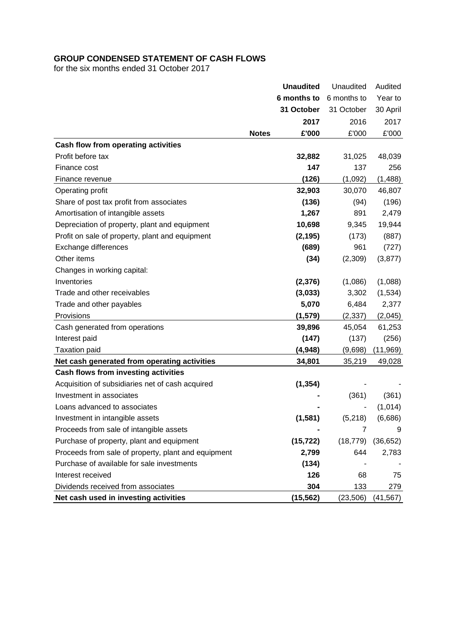# **GROUP CONDENSED STATEMENT OF CASH FLOWS**

for the six months ended 31 October 2017

|                                                     |              | <b>Unaudited</b> | Unaudited   | Audited   |
|-----------------------------------------------------|--------------|------------------|-------------|-----------|
|                                                     |              | 6 months to      | 6 months to | Year to   |
|                                                     |              | 31 October       | 31 October  | 30 April  |
|                                                     |              | 2017             | 2016        | 2017      |
|                                                     | <b>Notes</b> | £'000            | £'000       | £'000     |
| Cash flow from operating activities                 |              |                  |             |           |
| Profit before tax                                   |              | 32,882           | 31,025      | 48,039    |
| Finance cost                                        |              | 147              | 137         | 256       |
| Finance revenue                                     |              | (126)            | (1,092)     | (1, 488)  |
| Operating profit                                    |              | 32,903           | 30,070      | 46,807    |
| Share of post tax profit from associates            |              | (136)            | (94)        | (196)     |
| Amortisation of intangible assets                   |              | 1,267            | 891         | 2,479     |
| Depreciation of property, plant and equipment       |              | 10,698           | 9,345       | 19,944    |
| Profit on sale of property, plant and equipment     |              | (2, 195)         | (173)       | (887)     |
| Exchange differences                                |              | (689)            | 961         | (727)     |
| Other items                                         |              | (34)             | (2,309)     | (3, 877)  |
| Changes in working capital:                         |              |                  |             |           |
| Inventories                                         |              | (2, 376)         | (1,086)     | (1,088)   |
| Trade and other receivables                         |              | (3,033)          | 3,302       | (1, 534)  |
| Trade and other payables                            |              | 5,070            | 6,484       | 2,377     |
| Provisions                                          |              | (1, 579)         | (2, 337)    | (2,045)   |
| Cash generated from operations                      |              | 39,896           | 45,054      | 61,253    |
| Interest paid                                       |              | (147)            | (137)       | (256)     |
| <b>Taxation paid</b>                                |              | (4, 948)         | (9,698)     | (11, 969) |
| Net cash generated from operating activities        |              | 34,801           | 35,219      | 49,028    |
| Cash flows from investing activities                |              |                  |             |           |
| Acquisition of subsidiaries net of cash acquired    |              | (1, 354)         |             |           |
| Investment in associates                            |              |                  | (361)       | (361)     |
| Loans advanced to associates                        |              |                  |             | (1,014)   |
| Investment in intangible assets                     |              | (1,581)          | (5,218)     | (6,686)   |
| Proceeds from sale of intangible assets             |              |                  | 7           | 9         |
| Purchase of property, plant and equipment           |              | (15, 722)        | (18, 779)   | (36, 652) |
| Proceeds from sale of property, plant and equipment |              | 2,799            | 644         | 2,783     |
| Purchase of available for sale investments          |              | (134)            |             |           |
| Interest received                                   |              | 126              | 68          | 75        |
| Dividends received from associates                  |              | 304              | 133         | 279       |
| Net cash used in investing activities               |              | (15, 562)        | (23, 506)   | (41, 567) |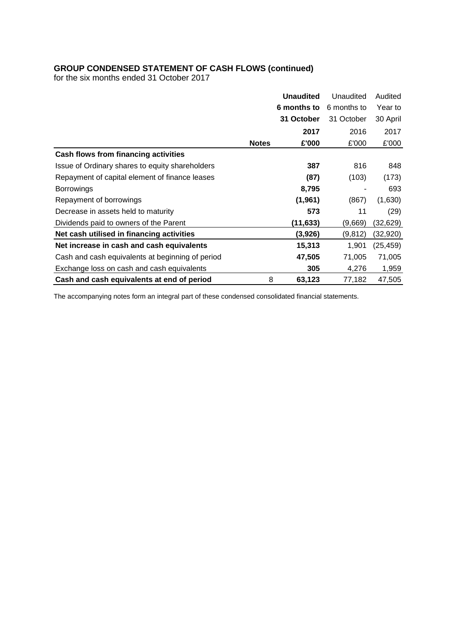# **GROUP CONDENSED STATEMENT OF CASH FLOWS (continued)**

for the six months ended 31 October 2017

|                                                  |              | <b>Unaudited</b> | Unaudited   | Audited   |
|--------------------------------------------------|--------------|------------------|-------------|-----------|
|                                                  |              | 6 months to      | 6 months to | Year to   |
|                                                  |              | 31 October       | 31 October  | 30 April  |
|                                                  |              | 2017             | 2016        | 2017      |
|                                                  | <b>Notes</b> | £'000            | £'000       | £'000     |
| Cash flows from financing activities             |              |                  |             |           |
| Issue of Ordinary shares to equity shareholders  |              | 387              | 816         | 848       |
| Repayment of capital element of finance leases   |              | (87)             | (103)       | (173)     |
| <b>Borrowings</b>                                |              | 8,795            |             | 693       |
| Repayment of borrowings                          |              | (1, 961)         | (867)       | (1,630)   |
| Decrease in assets held to maturity              |              | 573              | 11          | (29)      |
| Dividends paid to owners of the Parent           |              | (11, 633)        | (9,669)     | (32,629)  |
| Net cash utilised in financing activities        |              | (3,926)          | (9, 812)    | (32,920)  |
| Net increase in cash and cash equivalents        |              | 15,313           | 1,901       | (25, 459) |
| Cash and cash equivalents at beginning of period |              | 47,505           | 71,005      | 71,005    |
| Exchange loss on cash and cash equivalents       |              | 305              | 4,276       | 1,959     |
| Cash and cash equivalents at end of period       | 8            | 63,123           | 77,182      | 47,505    |

The accompanying notes form an integral part of these condensed consolidated financial statements.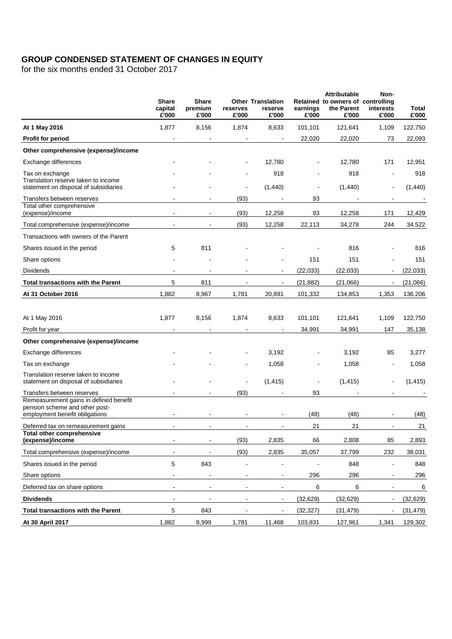# **GROUP CONDENSED STATEMENT OF CHANGES IN EQUITY**

for the six months ended 31 October 2017

|                                                                              | <b>Share</b><br>capital<br>£'000 | <b>Share</b><br>premium<br>£'000 | reserves<br>£'000 | <b>Other Translation</b><br>reserve<br>£'000 | earnings<br>£'000 | <b>Attributable</b><br>Retained to owners of controlling<br>the Parent<br>£'000 | Non-<br>interests<br>£'000 | Total<br>£'000 |
|------------------------------------------------------------------------------|----------------------------------|----------------------------------|-------------------|----------------------------------------------|-------------------|---------------------------------------------------------------------------------|----------------------------|----------------|
| At 1 May 2016                                                                | 1,877                            | 8,156                            | 1,874             | 8,633                                        | 101,101           | 121,641                                                                         | 1,109                      | 122,750        |
| Profit for period                                                            |                                  |                                  |                   |                                              | 22,020            | 22,020                                                                          | 73                         | 22,093         |
| Other comprehensive (expense)/income                                         |                                  |                                  |                   |                                              |                   |                                                                                 |                            |                |
| Exchange differences                                                         |                                  |                                  |                   | 12,780                                       |                   | 12,780                                                                          | 171                        | 12,951         |
| Tax on exchange                                                              |                                  |                                  |                   | 918                                          |                   | 918                                                                             | L,                         | 918            |
| Translation reserve taken to income<br>statement on disposal of subsidiaries |                                  |                                  | ä,                | (1,440)                                      |                   | (1,440)                                                                         | $\overline{a}$             | (1,440)        |
| Transfers between reserves                                                   |                                  |                                  | (93)              |                                              | 93                |                                                                                 |                            |                |
| Total other comprehensive<br>(expense)/income                                |                                  |                                  | (93)              | 12,258                                       | 93                | 12,258                                                                          | 171                        | 12,429         |
| Total comprehensive (expense)/income                                         | $\blacksquare$                   | $\blacksquare$                   | (93)              | 12,258                                       | 22,113            | 34,278                                                                          | 244                        | 34,522         |
| Transactions with owners of the Parent                                       |                                  |                                  |                   |                                              |                   |                                                                                 |                            |                |
| Shares issued in the period                                                  | 5                                | 811                              |                   |                                              |                   | 816                                                                             |                            | 816            |
| Share options                                                                |                                  |                                  |                   |                                              | 151               | 151                                                                             |                            | 151            |
| <b>Dividends</b>                                                             |                                  |                                  |                   |                                              | (22, 033)         | (22, 033)                                                                       | $\overline{a}$             | (22, 033)      |
| <b>Total transactions with the Parent</b>                                    | 5                                | 811                              |                   | $\blacksquare$                               | (21, 882)         | (21,066)                                                                        | $\blacksquare$             | (21,066)       |
| At 31 October 2016                                                           | 1,882                            | 8,967                            | 1,781             | 20,891                                       | 101,332           | 134,853                                                                         | 1,353                      | 136,206        |
|                                                                              |                                  |                                  |                   |                                              |                   |                                                                                 |                            |                |
| At 1 May 2016                                                                | 1,877                            | 8,156                            | 1,874             | 8,633                                        | 101,101           | 121,641                                                                         | 1,109                      | 122,750        |
| Profit for year                                                              |                                  |                                  | $\blacksquare$    | $\blacksquare$                               | 34,991            | 34,991                                                                          | 147                        | 35,138         |
| Other comprehensive (expense)/income                                         |                                  |                                  |                   |                                              |                   |                                                                                 |                            |                |
| Exchange differences                                                         |                                  |                                  |                   | 3,192                                        |                   | 3,192                                                                           | 85                         | 3,277          |
| Tax on exchange                                                              |                                  |                                  |                   | 1,058                                        |                   | 1,058                                                                           | L,                         | 1,058          |
| Translation reserve taken to income                                          |                                  |                                  |                   |                                              |                   |                                                                                 |                            |                |
| statement on disposal of subsidiaries                                        |                                  |                                  |                   | (1, 415)                                     |                   | (1, 415)                                                                        |                            | (1, 415)       |
| Transfers between reserves<br>Remeasurement gains in defined benefit         |                                  |                                  | (93)              |                                              | 93                |                                                                                 |                            |                |
| pension scheme and other post-                                               |                                  |                                  |                   |                                              | (48)              | (48)                                                                            |                            |                |
| employment benefit obligations<br>Deferred tax on remeasurement gains        |                                  |                                  |                   |                                              | 21                | 21                                                                              |                            | (48)<br>21     |
| <b>Total other comprehensive</b>                                             |                                  |                                  |                   |                                              |                   |                                                                                 |                            |                |
| (expense)/income                                                             |                                  |                                  | (93)              | 2,835                                        | 66                | 2,808                                                                           | 85                         | 2,893          |
| Total comprehensive (expense)/income                                         | $\blacksquare$                   |                                  | (93)              | 2,835                                        | 35,057            | 37,799                                                                          | 232                        | 38,031         |
| Shares issued in the period                                                  | 5                                | 843                              | ä,                | $\sim$                                       |                   | 848                                                                             | $\blacksquare$             | 848            |
| Share options                                                                | $\blacksquare$                   | $\blacksquare$                   | $\blacksquare$    | $\blacksquare$                               | 296               | 296                                                                             | $\blacksquare$             | 296            |
| Deferred tax on share options                                                | $\blacksquare$                   | $\blacksquare$                   | $\blacksquare$    | $\blacksquare$                               | 6                 | 6                                                                               | $\blacksquare$             | 6              |
| <b>Dividends</b>                                                             | $\blacksquare$                   | $\blacksquare$                   | $\overline{a}$    | $\blacksquare$                               | (32, 629)         | (32, 629)                                                                       | $\blacksquare$             | (32, 629)      |
| <b>Total transactions with the Parent</b>                                    | 5                                | 843                              |                   | $\blacksquare$                               | (32, 327)         | (31, 479)                                                                       | $\blacksquare$             | (31, 479)      |
| At 30 April 2017                                                             | 1,882                            | 8,999                            | 1,781             | 11,468                                       | 103,831           | 127,961                                                                         | 1,341                      | 129,302        |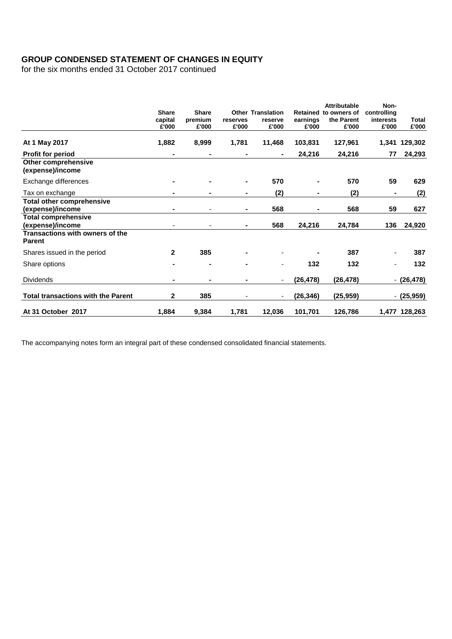# **GROUP CONDENSED STATEMENT OF CHANGES IN EQUITY**

for the six months ended 31 October 2017 continued

|                                                         | <b>Share</b><br>capital<br>£'000 | <b>Share</b><br>premium<br>£'000 | reserves<br>£'000 | <b>Other Translation</b><br>reserve<br>£'000 | earnings<br>£'000 | <b>Attributable</b><br>Retained to owners of<br>the Parent<br>£'000 | Non-<br>controlling<br>interests<br>£'000 | Total<br>£'000 |
|---------------------------------------------------------|----------------------------------|----------------------------------|-------------------|----------------------------------------------|-------------------|---------------------------------------------------------------------|-------------------------------------------|----------------|
| At 1 May 2017                                           | 1,882                            | 8,999                            | 1,781             | 11,468                                       | 103,831           | 127,961                                                             | 1,341                                     | 129,302        |
| <b>Profit for period</b>                                |                                  |                                  | $\blacksquare$    | ۰.                                           | 24,216            | 24,216                                                              | 77                                        | 24,293         |
| Other comprehensive<br>(expense)/income                 |                                  |                                  |                   |                                              |                   |                                                                     |                                           |                |
| Exchange differences                                    |                                  |                                  | Ξ.                | 570                                          |                   | 570                                                                 | 59                                        | 629            |
| Tax on exchange                                         |                                  |                                  | -                 | (2)                                          |                   | (2)                                                                 |                                           | (2)            |
| <b>Total other comprehensive</b><br>(expense)/income    |                                  |                                  | ۰                 | 568                                          |                   | 568                                                                 | 59                                        | 627            |
| <b>Total comprehensive</b><br>(expense)/income          |                                  |                                  | $\blacksquare$    | 568                                          | 24,216            | 24,784                                                              | 136                                       | 24,920         |
| <b>Transactions with owners of the</b><br><b>Parent</b> |                                  |                                  |                   |                                              |                   |                                                                     |                                           |                |
| Shares issued in the period                             | $\mathbf{2}$                     | 385                              | $\blacksquare$    |                                              |                   | 387                                                                 |                                           | 387            |
| Share options                                           |                                  | ۰                                | $\blacksquare$    | ۰                                            | 132               | 132                                                                 |                                           | 132            |
| <b>Dividends</b>                                        |                                  |                                  |                   |                                              | (26, 478)         | (26, 478)                                                           |                                           | $-(26,478)$    |
| <b>Total transactions with the Parent</b>               | 2                                | 385                              |                   |                                              | (26, 346)         | (25, 959)                                                           |                                           | $-(25,959)$    |
| At 31 October 2017                                      | 1,884                            | 9,384                            | 1,781             | 12,036                                       | 101,701           | 126,786                                                             |                                           | 1,477 128,263  |

The accompanying notes form an integral part of these condensed consolidated financial statements.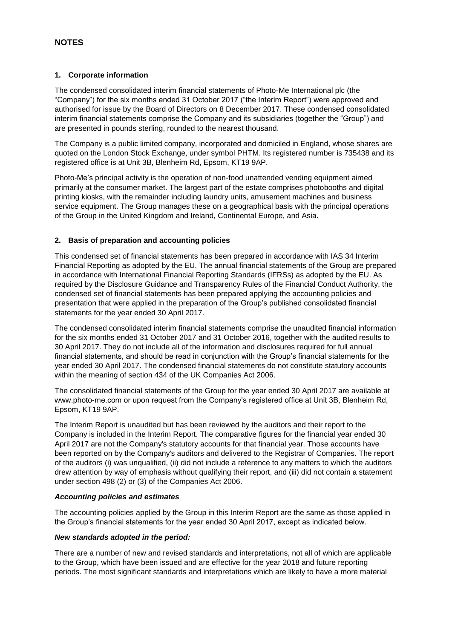#### **1. Corporate information**

The condensed consolidated interim financial statements of Photo-Me International plc (the "Company") for the six months ended 31 October 2017 ("the Interim Report") were approved and authorised for issue by the Board of Directors on 8 December 2017. These condensed consolidated interim financial statements comprise the Company and its subsidiaries (together the "Group") and are presented in pounds sterling, rounded to the nearest thousand.

The Company is a public limited company, incorporated and domiciled in England, whose shares are quoted on the London Stock Exchange, under symbol PHTM. Its registered number is 735438 and its registered office is at Unit 3B, Blenheim Rd, Epsom, KT19 9AP.

Photo-Me's principal activity is the operation of non-food unattended vending equipment aimed primarily at the consumer market. The largest part of the estate comprises photobooths and digital printing kiosks, with the remainder including laundry units, amusement machines and business service equipment. The Group manages these on a geographical basis with the principal operations of the Group in the United Kingdom and Ireland, Continental Europe, and Asia.

### **2. Basis of preparation and accounting policies**

This condensed set of financial statements has been prepared in accordance with IAS 34 Interim Financial Reporting as adopted by the EU. The annual financial statements of the Group are prepared in accordance with International Financial Reporting Standards (IFRSs) as adopted by the EU. As required by the Disclosure Guidance and Transparency Rules of the Financial Conduct Authority, the condensed set of financial statements has been prepared applying the accounting policies and presentation that were applied in the preparation of the Group's published consolidated financial statements for the year ended 30 April 2017.

The condensed consolidated interim financial statements comprise the unaudited financial information for the six months ended 31 October 2017 and 31 October 2016, together with the audited results to 30 April 2017. They do not include all of the information and disclosures required for full annual financial statements, and should be read in conjunction with the Group's financial statements for the year ended 30 April 2017. The condensed financial statements do not constitute statutory accounts within the meaning of section 434 of the UK Companies Act 2006.

The consolidated financial statements of the Group for the year ended 30 April 2017 are available at www.photo-me.com or upon request from the Company's registered office at Unit 3B, Blenheim Rd, Epsom, KT19 9AP.

The Interim Report is unaudited but has been reviewed by the auditors and their report to the Company is included in the Interim Report. The comparative figures for the financial year ended 30 April 2017 are not the Company's statutory accounts for that financial year. Those accounts have been reported on by the Company's auditors and delivered to the Registrar of Companies. The report of the auditors (i) was unqualified, (ii) did not include a reference to any matters to which the auditors drew attention by way of emphasis without qualifying their report, and (iii) did not contain a statement under section 498 (2) or (3) of the Companies Act 2006.

#### *Accounting policies and estimates*

The accounting policies applied by the Group in this Interim Report are the same as those applied in the Group's financial statements for the year ended 30 April 2017, except as indicated below.

#### *New standards adopted in the period:*

There are a number of new and revised standards and interpretations, not all of which are applicable to the Group, which have been issued and are effective for the year 2018 and future reporting periods. The most significant standards and interpretations which are likely to have a more material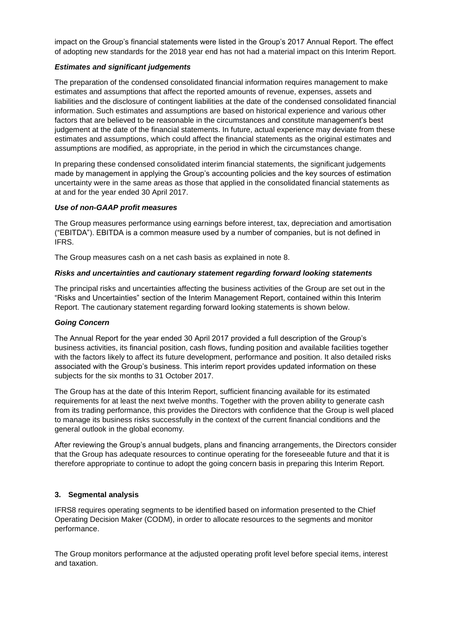impact on the Group's financial statements were listed in the Group's 2017 Annual Report. The effect of adopting new standards for the 2018 year end has not had a material impact on this Interim Report.

#### *Estimates and significant judgements*

The preparation of the condensed consolidated financial information requires management to make estimates and assumptions that affect the reported amounts of revenue, expenses, assets and liabilities and the disclosure of contingent liabilities at the date of the condensed consolidated financial information. Such estimates and assumptions are based on historical experience and various other factors that are believed to be reasonable in the circumstances and constitute management's best judgement at the date of the financial statements. In future, actual experience may deviate from these estimates and assumptions, which could affect the financial statements as the original estimates and assumptions are modified, as appropriate, in the period in which the circumstances change.

In preparing these condensed consolidated interim financial statements, the significant judgements made by management in applying the Group's accounting policies and the key sources of estimation uncertainty were in the same areas as those that applied in the consolidated financial statements as at and for the year ended 30 April 2017.

#### *Use of non-GAAP profit measures*

The Group measures performance using earnings before interest, tax, depreciation and amortisation ("EBITDA"). EBITDA is a common measure used by a number of companies, but is not defined in IFRS.

The Group measures cash on a net cash basis as explained in note 8.

#### *Risks and uncertainties and cautionary statement regarding forward looking statements*

The principal risks and uncertainties affecting the business activities of the Group are set out in the "Risks and Uncertainties" section of the Interim Management Report, contained within this Interim Report. The cautionary statement regarding forward looking statements is shown below.

#### *Going Concern*

The Annual Report for the year ended 30 April 2017 provided a full description of the Group's business activities, its financial position, cash flows, funding position and available facilities together with the factors likely to affect its future development, performance and position. It also detailed risks associated with the Group's business. This interim report provides updated information on these subjects for the six months to 31 October 2017.

The Group has at the date of this Interim Report, sufficient financing available for its estimated requirements for at least the next twelve months. Together with the proven ability to generate cash from its trading performance, this provides the Directors with confidence that the Group is well placed to manage its business risks successfully in the context of the current financial conditions and the general outlook in the global economy.

After reviewing the Group's annual budgets, plans and financing arrangements, the Directors consider that the Group has adequate resources to continue operating for the foreseeable future and that it is therefore appropriate to continue to adopt the going concern basis in preparing this Interim Report.

### **3. Segmental analysis**

IFRS8 requires operating segments to be identified based on information presented to the Chief Operating Decision Maker (CODM), in order to allocate resources to the segments and monitor performance.

The Group monitors performance at the adjusted operating profit level before special items, interest and taxation.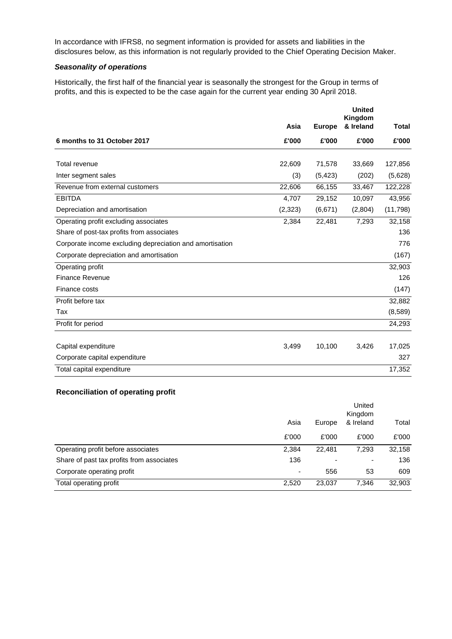In accordance with IFRS8, no segment information is provided for assets and liabilities in the disclosures below, as this information is not regularly provided to the Chief Operating Decision Maker.

#### *Seasonality of operations*

Historically, the first half of the financial year is seasonally the strongest for the Group in terms of profits, and this is expected to be the case again for the current year ending 30 April 2018.

|                                                          |         |               | <b>United</b>        |              |
|----------------------------------------------------------|---------|---------------|----------------------|--------------|
|                                                          | Asia    | <b>Europe</b> | Kingdom<br>& Ireland | <b>Total</b> |
| 6 months to 31 October 2017                              | £'000   | £'000         | £'000                | £'000        |
|                                                          |         |               |                      |              |
| Total revenue                                            | 22,609  | 71,578        | 33,669               | 127,856      |
| Inter segment sales                                      | (3)     | (5, 423)      | (202)                | (5,628)      |
| Revenue from external customers                          | 22,606  | 66,155        | 33,467               | 122,228      |
| <b>EBITDA</b>                                            | 4,707   | 29,152        | 10,097               | 43,956       |
| Depreciation and amortisation                            | (2,323) | (6,671)       | (2,804)              | (11, 798)    |
| Operating profit excluding associates                    | 2,384   | 22,481        | 7,293                | 32,158       |
| Share of post-tax profits from associates                |         |               |                      | 136          |
| Corporate income excluding depreciation and amortisation |         |               |                      | 776          |
| Corporate depreciation and amortisation                  |         |               |                      | (167)        |
| Operating profit                                         |         |               |                      | 32,903       |
| <b>Finance Revenue</b>                                   |         |               |                      | 126          |
| Finance costs                                            |         |               |                      | (147)        |
| Profit before tax                                        |         |               |                      | 32,882       |
| Tax                                                      |         |               |                      | (8,589)      |
| Profit for period                                        |         |               |                      | 24,293       |
|                                                          |         |               |                      |              |
| Capital expenditure                                      | 3,499   | 10,100        | 3,426                | 17,025       |
| Corporate capital expenditure                            |         |               |                      | 327          |
| Total capital expenditure                                |         |               |                      | 17,352       |

### **Reconciliation of operating profit**

|                                           | Asia  | Europe                   | United<br>Kingdom<br>& Ireland | Total  |
|-------------------------------------------|-------|--------------------------|--------------------------------|--------|
|                                           | £'000 | £'000                    | £'000                          | £'000  |
| Operating profit before associates        | 2,384 | 22.481                   | 7.293                          | 32,158 |
| Share of past tax profits from associates | 136   | $\overline{\phantom{a}}$ | ۰                              | 136    |
| Corporate operating profit                | -     | 556                      | 53                             | 609    |
| Total operating profit                    | 2,520 | 23,037                   | 7,346                          | 32,903 |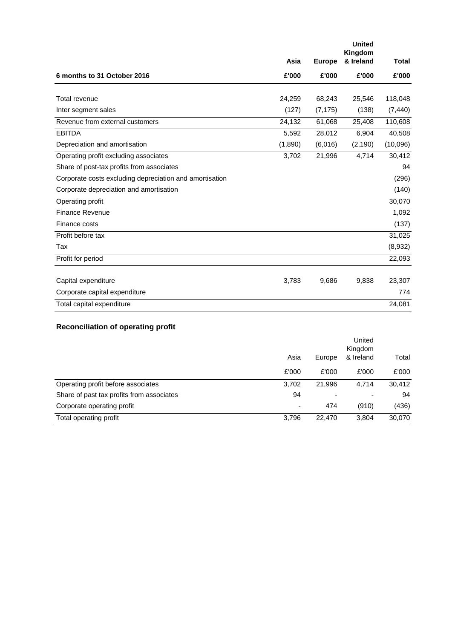|                                                         |         |               | <b>United</b><br>Kingdom |              |
|---------------------------------------------------------|---------|---------------|--------------------------|--------------|
|                                                         | Asia    | <b>Europe</b> | & Ireland                | <b>Total</b> |
| 6 months to 31 October 2016                             | £'000   | £'000         | £'000                    | £'000        |
|                                                         |         |               |                          |              |
| Total revenue                                           | 24,259  | 68,243        | 25,546                   | 118,048      |
| Inter segment sales                                     | (127)   | (7, 175)      | (138)                    | (7, 440)     |
| Revenue from external customers                         | 24,132  | 61,068        | 25,408                   | 110,608      |
| <b>EBITDA</b>                                           | 5,592   | 28,012        | 6,904                    | 40,508       |
| Depreciation and amortisation                           | (1,890) | (6,016)       | (2, 190)                 | (10,096)     |
| Operating profit excluding associates                   | 3,702   | 21,996        | 4,714                    | 30,412       |
| Share of post-tax profits from associates               |         |               |                          | 94           |
| Corporate costs excluding depreciation and amortisation |         |               |                          | (296)        |
| Corporate depreciation and amortisation                 |         |               |                          | (140)        |
| Operating profit                                        |         |               |                          | 30,070       |
| <b>Finance Revenue</b>                                  |         |               |                          | 1,092        |
| Finance costs                                           |         |               |                          | (137)        |
| Profit before tax                                       |         |               |                          | 31,025       |
| Tax                                                     |         |               |                          | (8,932)      |
| Profit for period                                       |         |               |                          | 22,093       |
|                                                         |         |               |                          |              |
| Capital expenditure                                     | 3,783   | 9,686         | 9,838                    | 23,307       |
| Corporate capital expenditure                           |         |               |                          | 774          |
| Total capital expenditure                               |         |               |                          | 24,081       |

# **Reconciliation of operating profit**

|                                           | Asia  | Europe | United<br>Kingdom<br>& Ireland | Total  |
|-------------------------------------------|-------|--------|--------------------------------|--------|
|                                           | £'000 | £'000  | £'000                          | £'000  |
| Operating profit before associates        | 3,702 | 21.996 | 4.714                          | 30,412 |
| Share of past tax profits from associates | 94    |        | $\overline{\phantom{0}}$       | 94     |
| Corporate operating profit                | ٠     | 474    | (910)                          | (436)  |
| Total operating profit                    | 3,796 | 22,470 | 3,804                          | 30,070 |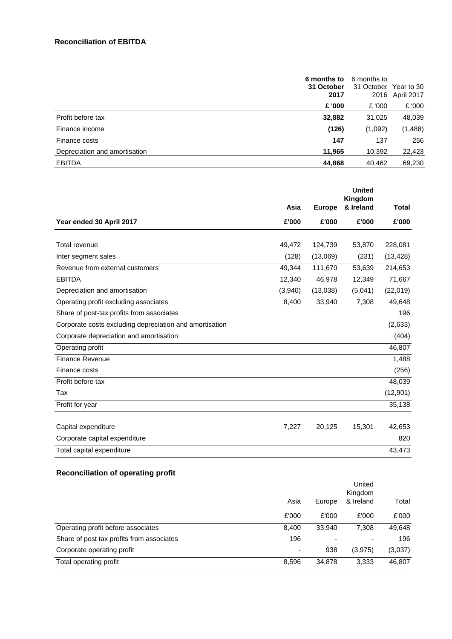|                               | 6 months to<br>31 October<br>2017 |         | 6 months to<br>31 October Year to 30<br>2016 April 2017 |
|-------------------------------|-----------------------------------|---------|---------------------------------------------------------|
|                               | £ '000                            | £ '000  | £ '000                                                  |
| Profit before tax             | 32,882                            | 31,025  | 48,039                                                  |
| Finance income                | (126)                             | (1,092) | (1, 488)                                                |
| Finance costs                 | 147                               | 137     | 256                                                     |
| Depreciation and amortisation | 11,965                            | 10,392  | 22,423                                                  |
| <b>EBITDA</b>                 | 44,868                            | 40,462  | 69,230                                                  |

|                                                         |         |               | <b>United</b><br>Kingdom |              |
|---------------------------------------------------------|---------|---------------|--------------------------|--------------|
|                                                         | Asia    | <b>Europe</b> | & Ireland                | <b>Total</b> |
| Year ended 30 April 2017                                | £'000   | £'000         | £'000                    | £'000        |
| Total revenue                                           | 49,472  | 124,739       | 53,870                   | 228,081      |
| Inter segment sales                                     | (128)   | (13,069)      | (231)                    | (13, 428)    |
| Revenue from external customers                         | 49,344  | 111,670       | 53,639                   | 214,653      |
| <b>EBITDA</b>                                           | 12,340  | 46,978        | 12,349                   | 71,667       |
| Depreciation and amortisation                           | (3,940) | (13,038)      | (5,041)                  | (22,019)     |
| Operating profit excluding associates                   | 8,400   | 33,940        | 7,308                    | 49,648       |
| Share of post-tax profits from associates               |         |               |                          | 196          |
| Corporate costs excluding depreciation and amortisation |         |               |                          | (2,633)      |
| Corporate depreciation and amortisation                 |         |               |                          | (404)        |
| Operating profit                                        |         |               |                          | 46,807       |
| <b>Finance Revenue</b>                                  |         |               |                          | 1,488        |
| Finance costs                                           |         |               |                          | (256)        |
| Profit before tax                                       |         |               |                          | 48,039       |
| Tax                                                     |         |               |                          | (12, 901)    |
| Profit for year                                         |         |               |                          | 35,138       |
|                                                         |         |               |                          |              |
| Capital expenditure                                     | 7,227   | 20,125        | 15,301                   | 42,653       |
| Corporate capital expenditure                           |         |               |                          | 820          |
| Total capital expenditure                               |         |               |                          | 43,473       |

# **Reconciliation of operating profit**

| Asia  | Europe | United<br>Kingdom<br>& Ireland | Total   |  |
|-------|--------|--------------------------------|---------|--|
| £'000 | £'000  | £'000                          | £'000   |  |
| 8,400 | 33,940 | 7.308                          | 49,648  |  |
| 196   | ٠      |                                | 196     |  |
| -     | 938    | (3,975)                        | (3,037) |  |
| 8,596 | 34,878 | 3,333                          | 46,807  |  |
|       |        |                                |         |  |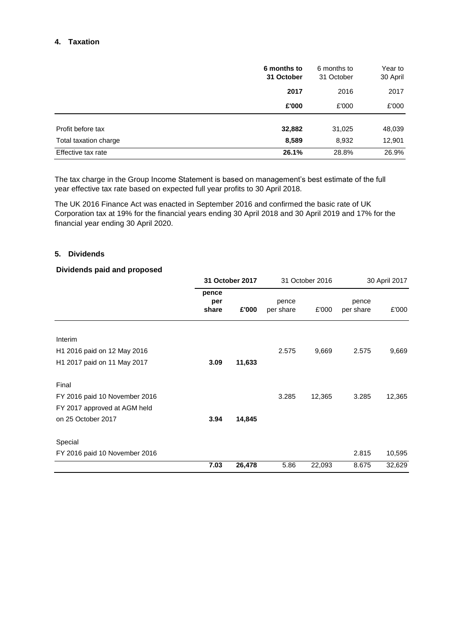### **4. Taxation**

|                       | 6 months to<br>31 October | 6 months to<br>31 October | Year to<br>30 April |
|-----------------------|---------------------------|---------------------------|---------------------|
|                       | 2017                      | 2016                      | 2017                |
|                       | £'000                     | £'000                     | £'000               |
| Profit before tax     | 32,882                    | 31,025                    | 48,039              |
| Total taxation charge | 8,589                     | 8,932                     | 12,901              |
| Effective tax rate    | 26.1%                     | 28.8%                     | 26.9%               |

The tax charge in the Group Income Statement is based on management's best estimate of the full year effective tax rate based on expected full year profits to 30 April 2018.

The UK 2016 Finance Act was enacted in September 2016 and confirmed the basic rate of UK Corporation tax at 19% for the financial years ending 30 April 2018 and 30 April 2019 and 17% for the financial year ending 30 April 2020.

#### **5. Dividends**

#### **Dividends paid and proposed**

|                               |                       | 31 October 2017 |                    | 31 October 2016 |                    | 30 April 2017 |
|-------------------------------|-----------------------|-----------------|--------------------|-----------------|--------------------|---------------|
|                               | pence<br>per<br>share | £'000           | pence<br>per share | £'000           | pence<br>per share | £'000         |
| Interim                       |                       |                 |                    |                 |                    |               |
| H1 2016 paid on 12 May 2016   |                       |                 | 2.575              | 9,669           | 2.575              | 9,669         |
| H1 2017 paid on 11 May 2017   | 3.09                  | 11,633          |                    |                 |                    |               |
| Final                         |                       |                 |                    |                 |                    |               |
| FY 2016 paid 10 November 2016 |                       |                 | 3.285              | 12,365          | 3.285              | 12,365        |
| FY 2017 approved at AGM held  |                       |                 |                    |                 |                    |               |
| on 25 October 2017            | 3.94                  | 14,845          |                    |                 |                    |               |
| Special                       |                       |                 |                    |                 |                    |               |
| FY 2016 paid 10 November 2016 |                       |                 |                    |                 | 2.815              | 10,595        |
|                               | 7.03                  | 26,478          | 5.86               | 22,093          | 8.675              | 32,629        |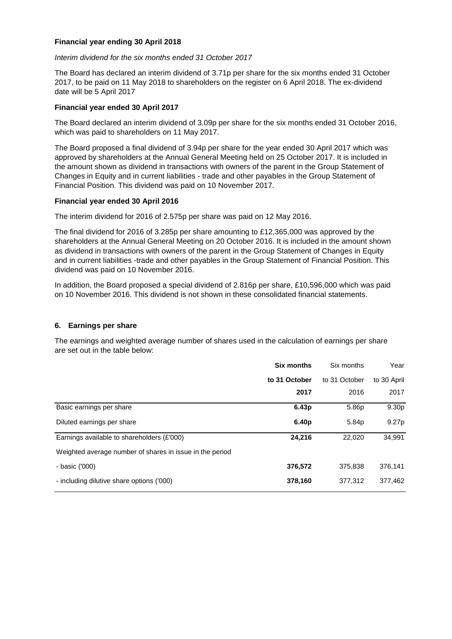#### **Financial year ending 30 April 2018**

#### *Interim dividend for the six months ended 31 October 2017*

The Board has declared an interim dividend of 3.71p per share for the six months ended 31 October 2017, to be paid on 11 May 2018 to shareholders on the register on 6 April 2018. The ex-dividend date will be 5 April 2017

#### **Financial year ended 30 April 2017**

The Board declared an interim dividend of 3.09p per share for the six months ended 31 October 2016, which was paid to shareholders on 11 May 2017.

The Board proposed a final dividend of 3.94p per share for the year ended 30 April 2017 which was approved by shareholders at the Annual General Meeting held on 25 October 2017. It is included in the amount shown as dividend in transactions with owners of the parent in the Group Statement of Changes in Equity and in current liabilities - trade and other payables in the Group Statement of Financial Position. This dividend was paid on 10 November 2017.

#### **Financial year ended 30 April 2016**

The interim dividend for 2016 of 2.575p per share was paid on 12 May 2016.

The final dividend for 2016 of 3.285p per share amounting to £12,365,000 was approved by the shareholders at the Annual General Meeting on 20 October 2016. It is included in the amount shown as dividend in transactions with owners of the parent in the Group Statement of Changes in Equity and in current liabilities -trade and other payables in the Group Statement of Financial Position. This dividend was paid on 10 November 2016.

In addition, the Board proposed a special dividend of 2.816p per share, £10,596,000 which was paid on 10 November 2016. This dividend is not shown in these consolidated financial statements.

#### **6. Earnings per share**

The earnings and weighted average number of shares used in the calculation of earnings per share are set out in the table below:

|                                                          | <b>Six months</b> | Six months        | Year        |
|----------------------------------------------------------|-------------------|-------------------|-------------|
|                                                          | to 31 October     | to 31 October     | to 30 April |
|                                                          | 2017              | 2016              | 2017        |
| Basic earnings per share                                 | 6.43p             | 5.86p             | 9.30p       |
| Diluted earnings per share                               | 6.40 <sub>p</sub> | 5.84 <sub>p</sub> | 9.27p       |
| Earnings available to shareholders (£'000)               | 24,216            | 22,020            | 34,991      |
| Weighted average number of shares in issue in the period |                   |                   |             |
| - basic ('000)                                           | 376,572           | 375.838           | 376,141     |
| - including dilutive share options ('000)                | 378,160           | 377.312           | 377,462     |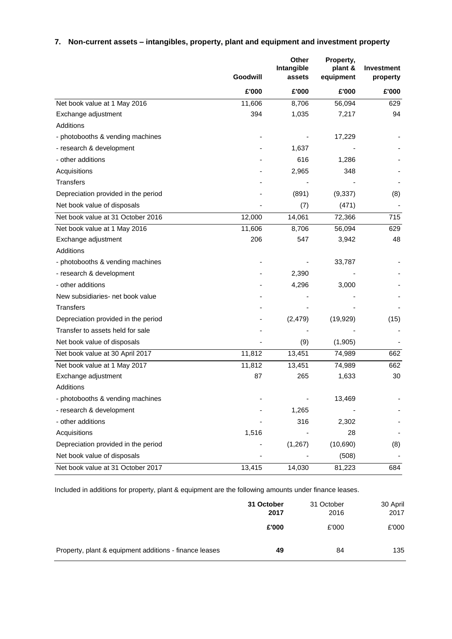# **7. Non-current assets – intangibles, property, plant and equipment and investment property**

|                                     | Goodwill | Other<br>Intangible<br>assets | Property,<br>plant &<br>equipment | <b>Investment</b><br>property |
|-------------------------------------|----------|-------------------------------|-----------------------------------|-------------------------------|
|                                     | £'000    | £'000                         | £'000                             | £'000                         |
| Net book value at 1 May 2016        | 11,606   | 8,706                         | 56,094                            | 629                           |
| Exchange adjustment                 | 394      | 1,035                         | 7,217                             | 94                            |
| Additions                           |          |                               |                                   |                               |
| - photobooths & vending machines    |          |                               | 17,229                            |                               |
| - research & development            |          | 1,637                         |                                   |                               |
| - other additions                   |          | 616                           | 1,286                             |                               |
| Acquisitions                        |          | 2,965                         | 348                               |                               |
| <b>Transfers</b>                    |          |                               |                                   |                               |
| Depreciation provided in the period |          | (891)                         | (9, 337)                          | (8)                           |
| Net book value of disposals         |          | (7)                           | (471)                             |                               |
| Net book value at 31 October 2016   | 12,000   | 14,061                        | 72,366                            | 715                           |
| Net book value at 1 May 2016        | 11,606   | 8,706                         | 56,094                            | 629                           |
| Exchange adjustment                 | 206      | 547                           | 3,942                             | 48                            |
| Additions                           |          |                               |                                   |                               |
| - photobooths & vending machines    |          |                               | 33,787                            |                               |
| - research & development            |          | 2,390                         |                                   |                               |
| - other additions                   |          | 4,296                         | 3,000                             |                               |
| New subsidiaries- net book value    |          |                               |                                   |                               |
| <b>Transfers</b>                    |          |                               |                                   |                               |
| Depreciation provided in the period |          | (2, 479)                      | (19, 929)                         | (15)                          |
| Transfer to assets held for sale    |          |                               |                                   |                               |
| Net book value of disposals         |          | (9)                           | (1,905)                           |                               |
| Net book value at 30 April 2017     | 11,812   | 13,451                        | 74,989                            | 662                           |
| Net book value at 1 May 2017        | 11,812   | 13,451                        | 74,989                            | 662                           |
| Exchange adjustment                 | 87       | 265                           | 1,633                             | 30                            |
| Additions                           |          |                               |                                   |                               |
| - photobooths & vending machines    |          |                               | 13,469                            |                               |
| - research & development            |          | 1,265                         |                                   |                               |
| - other additions                   |          | 316                           | 2,302                             |                               |
| Acquisitions                        | 1,516    |                               | 28                                |                               |
| Depreciation provided in the period |          | (1, 267)                      | (10,690)                          | (8)                           |
| Net book value of disposals         |          |                               | (508)                             |                               |
| Net book value at 31 October 2017   | 13,415   | 14,030                        | 81,223                            | 684                           |

Included in additions for property, plant & equipment are the following amounts under finance leases.

|                                                        | 31 October<br>2017 | 31 October<br>2016 | 30 April<br>2017 |
|--------------------------------------------------------|--------------------|--------------------|------------------|
|                                                        | £'000              | £'000              | £'000            |
| Property, plant & equipment additions - finance leases | 49                 | 84                 | 135              |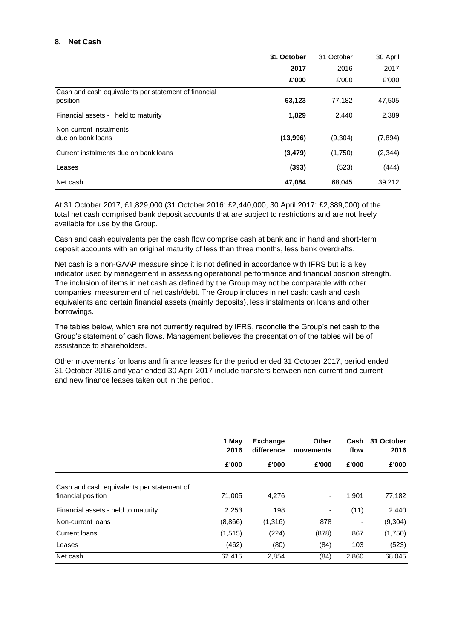#### **8. Net Cash**

|                                                                  | 31 October | 31 October | 30 April |
|------------------------------------------------------------------|------------|------------|----------|
|                                                                  | 2017       | 2016       | 2017     |
|                                                                  | £'000      | £'000      | £'000    |
| Cash and cash equivalents per statement of financial<br>position | 63,123     | 77,182     | 47,505   |
| Financial assets - held to maturity                              | 1,829      | 2,440      | 2,389    |
| Non-current instalments<br>due on bank loans                     | (13,996)   | (9,304)    | (7, 894) |
| Current instalments due on bank loans                            | (3, 479)   | (1,750)    | (2, 344) |
| Leases                                                           | (393)      | (523)      | (444)    |
| Net cash                                                         | 47,084     | 68.045     | 39,212   |

At 31 October 2017, £1,829,000 (31 October 2016: £2,440,000, 30 April 2017: £2,389,000) of the total net cash comprised bank deposit accounts that are subject to restrictions and are not freely available for use by the Group.

Cash and cash equivalents per the cash flow comprise cash at bank and in hand and short-term deposit accounts with an original maturity of less than three months, less bank overdrafts.

Net cash is a non-GAAP measure since it is not defined in accordance with IFRS but is a key indicator used by management in assessing operational performance and financial position strength. The inclusion of items in net cash as defined by the Group may not be comparable with other companies' measurement of net cash/debt. The Group includes in net cash: cash and cash equivalents and certain financial assets (mainly deposits), less instalments on loans and other borrowings.

The tables below, which are not currently required by IFRS, reconcile the Group's net cash to the Group's statement of cash flows. Management believes the presentation of the tables will be of assistance to shareholders.

Other movements for loans and finance leases for the period ended 31 October 2017, period ended 31 October 2016 and year ended 30 April 2017 include transfers between non-current and current and new finance leases taken out in the period.

|                                                                  | 1 May<br>2016 | <b>Exchange</b><br>difference | Other<br>movements       | Cash<br>flow | 31 October<br>2016 |
|------------------------------------------------------------------|---------------|-------------------------------|--------------------------|--------------|--------------------|
|                                                                  | £'000         | £'000                         | £'000                    | £'000        | £'000              |
| Cash and cash equivalents per statement of<br>financial position | 71,005        | 4,276                         | $\overline{\phantom{a}}$ | 1,901        | 77,182             |
| Financial assets - held to maturity                              | 2,253         | 198                           | $\overline{\phantom{a}}$ | (11)         | 2,440              |
| Non-current loans                                                | (8,866)       | (1,316)                       | 878                      |              | (9,304)            |
| Current loans                                                    | (1, 515)      | (224)                         | (878)                    | 867          | (1,750)            |
| Leases                                                           | (462)         | (80)                          | (84)                     | 103          | (523)              |
| Net cash                                                         | 62,415        | 2,854                         | (84)                     | 2,860        | 68,045             |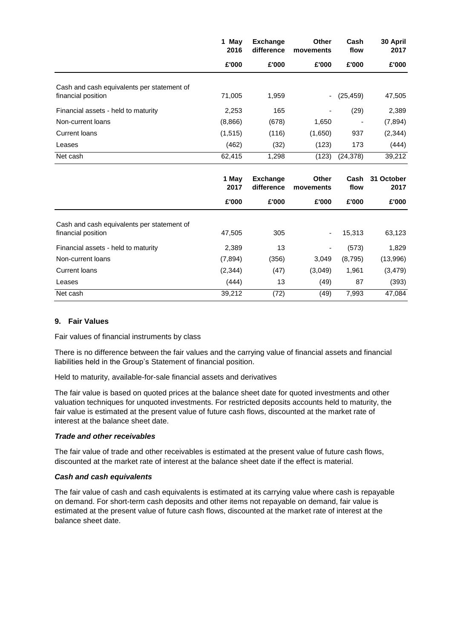|                                                                  | 1 May<br>2016 | <b>Exchange</b><br>difference | <b>Other</b><br>movements | Cash<br>flow | 30 April<br>2017   |
|------------------------------------------------------------------|---------------|-------------------------------|---------------------------|--------------|--------------------|
|                                                                  | £'000         | £'000                         | £'000                     | £'000        | £'000              |
| Cash and cash equivalents per statement of<br>financial position | 71,005        | 1,959                         |                           | (25, 459)    | 47,505             |
| Financial assets - held to maturity                              | 2,253         | 165                           |                           | (29)         | 2,389              |
| Non-current loans                                                | (8,866)       | (678)                         | 1,650                     |              | (7, 894)           |
| <b>Current loans</b>                                             | (1, 515)      | (116)                         | (1,650)                   | 937          | (2, 344)           |
| Leases                                                           | (462)         | (32)                          | (123)                     | 173          | (444)              |
| Net cash                                                         | 62,415        | 1,298                         | (123)                     | (24, 378)    | 39,212             |
|                                                                  |               |                               |                           |              |                    |
|                                                                  | 1 May<br>2017 | <b>Exchange</b><br>difference | <b>Other</b><br>movements | Cash<br>flow | 31 October<br>2017 |
|                                                                  | £'000         | £'000                         | £'000                     | £'000        | £'000              |
| Cash and cash equivalents per statement of<br>financial position | 47,505        | 305                           | $\overline{\phantom{0}}$  | 15,313       | 63,123             |
| Financial assets - held to maturity                              | 2,389         | 13                            | $\overline{\phantom{0}}$  | (573)        | 1,829              |
| Non-current loans                                                | (7, 894)      | (356)                         | 3,049                     | (8,795)      | (13,996)           |
| <b>Current loans</b>                                             | (2,344)       | (47)                          | (3,049)                   | 1,961        | (3, 479)           |
| Leases                                                           | (444)         | 13                            | (49)                      | 87           | (393)              |

### **9. Fair Values**

Fair values of financial instruments by class

There is no difference between the fair values and the carrying value of financial assets and financial liabilities held in the Group's Statement of financial position.

Held to maturity, available-for-sale financial assets and derivatives

The fair value is based on quoted prices at the balance sheet date for quoted investments and other valuation techniques for unquoted investments. For restricted deposits accounts held to maturity, the fair value is estimated at the present value of future cash flows, discounted at the market rate of interest at the balance sheet date.

#### *Trade and other receivables*

The fair value of trade and other receivables is estimated at the present value of future cash flows, discounted at the market rate of interest at the balance sheet date if the effect is material.

#### *Cash and cash equivalents*

The fair value of cash and cash equivalents is estimated at its carrying value where cash is repayable on demand. For short-term cash deposits and other items not repayable on demand, fair value is estimated at the present value of future cash flows, discounted at the market rate of interest at the balance sheet date.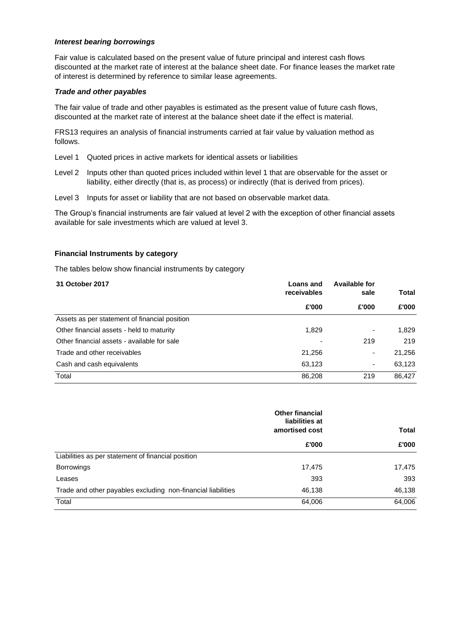#### *Interest bearing borrowings*

Fair value is calculated based on the present value of future principal and interest cash flows discounted at the market rate of interest at the balance sheet date. For finance leases the market rate of interest is determined by reference to similar lease agreements.

#### *Trade and other payables*

The fair value of trade and other payables is estimated as the present value of future cash flows, discounted at the market rate of interest at the balance sheet date if the effect is material.

FRS13 requires an analysis of financial instruments carried at fair value by valuation method as follows.

- Level 1 Quoted prices in active markets for identical assets or liabilities
- Level 2 Inputs other than quoted prices included within level 1 that are observable for the asset or liability, either directly (that is, as process) or indirectly (that is derived from prices).
- Level 3 Inputs for asset or liability that are not based on observable market data.

The Group's financial instruments are fair valued at level 2 with the exception of other financial assets available for sale investments which are valued at level 3.

#### **Financial Instruments by category**

The tables below show financial instruments by category

| 31 October 2017                               | Loans and   | Available for |        |
|-----------------------------------------------|-------------|---------------|--------|
|                                               | receivables | sale          | Total  |
|                                               | £'000       | £'000         | £'000  |
| Assets as per statement of financial position |             |               |        |
| Other financial assets - held to maturity     | 1,829       |               | 1,829  |
| Other financial assets - available for sale   |             | 219           | 219    |
| Trade and other receivables                   | 21,256      | ٠             | 21,256 |
| Cash and cash equivalents                     | 63,123      | ۰             | 63,123 |
| Total                                         | 86,208      | 219           | 86.427 |

|                                                              | <b>Other financial</b><br>liabilities at |              |
|--------------------------------------------------------------|------------------------------------------|--------------|
|                                                              | amortised cost                           | <b>Total</b> |
|                                                              | £'000                                    | £'000        |
| Liabilities as per statement of financial position           |                                          |              |
| <b>Borrowings</b>                                            | 17,475                                   | 17,475       |
| Leases                                                       | 393                                      | 393          |
| Trade and other payables excluding non-financial liabilities | 46,138                                   | 46,138       |
| Total                                                        | 64,006                                   | 64,006       |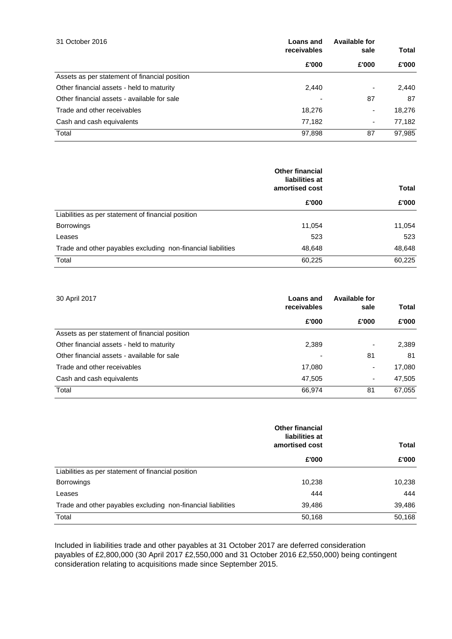| 31 October 2016                               | Loans and   | Available for            |        |
|-----------------------------------------------|-------------|--------------------------|--------|
|                                               | receivables | sale                     | Total  |
|                                               | £'000       | £'000                    | £'000  |
| Assets as per statement of financial position |             |                          |        |
| Other financial assets - held to maturity     | 2,440       | ۰                        | 2,440  |
| Other financial assets - available for sale   |             | 87                       | 87     |
| Trade and other receivables                   | 18.276      | $\overline{\phantom{a}}$ | 18,276 |
| Cash and cash equivalents                     | 77,182      | ٠                        | 77,182 |
| Total                                         | 97,898      | 87                       | 97,985 |

|                                                              | <b>Other financial</b><br>liabilities at |              |
|--------------------------------------------------------------|------------------------------------------|--------------|
|                                                              | amortised cost                           | <b>Total</b> |
|                                                              | £'000                                    | £'000        |
| Liabilities as per statement of financial position           |                                          |              |
| <b>Borrowings</b>                                            | 11,054                                   | 11,054       |
| Leases                                                       | 523                                      | 523          |
| Trade and other payables excluding non-financial liabilities | 48,648                                   | 48,648       |
| Total                                                        | 60,225                                   | 60,225       |

| 30 April 2017                                 | Loans and<br>receivables | Available for<br>sale    | Total  |
|-----------------------------------------------|--------------------------|--------------------------|--------|
|                                               | £'000                    | £'000                    | £'000  |
| Assets as per statement of financial position |                          |                          |        |
| Other financial assets - held to maturity     | 2,389                    | $\overline{\phantom{0}}$ | 2,389  |
| Other financial assets - available for sale   |                          | 81                       | 81     |
| Trade and other receivables                   | 17,080                   | ٠                        | 17,080 |
| Cash and cash equivalents                     | 47.505                   | $\overline{\phantom{a}}$ | 47,505 |
| Total                                         | 66,974                   | 81                       | 67,055 |

|                                                              | <b>Other financial</b><br>liabilities at<br>amortised cost | Total  |
|--------------------------------------------------------------|------------------------------------------------------------|--------|
|                                                              | £'000                                                      | £'000  |
| Liabilities as per statement of financial position           |                                                            |        |
| <b>Borrowings</b>                                            | 10,238                                                     | 10,238 |
| Leases                                                       | 444                                                        | 444    |
| Trade and other payables excluding non-financial liabilities | 39,486                                                     | 39,486 |
| Total                                                        | 50,168                                                     | 50,168 |

Included in liabilities trade and other payables at 31 October 2017 are deferred consideration payables of £2,800,000 (30 April 2017 £2,550,000 and 31 October 2016 £2,550,000) being contingent consideration relating to acquisitions made since September 2015.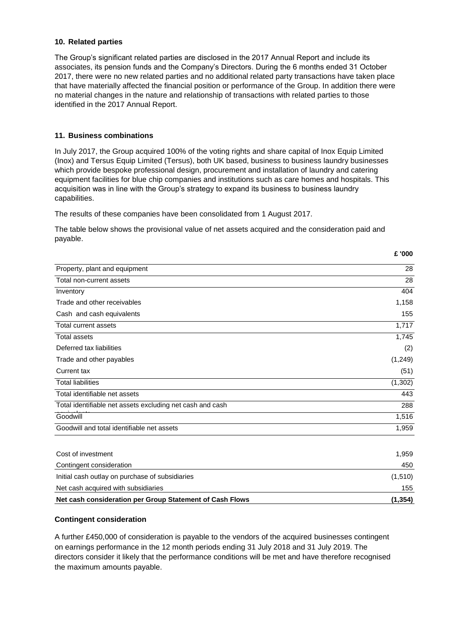#### **10. Related parties**

The Group's significant related parties are disclosed in the 2017 Annual Report and include its associates, its pension funds and the Company's Directors. During the 6 months ended 31 October 2017, there were no new related parties and no additional related party transactions have taken place that have materially affected the financial position or performance of the Group. In addition there were no material changes in the nature and relationship of transactions with related parties to those identified in the 2017 Annual Report.

#### **11. Business combinations**

In July 2017, the Group acquired 100% of the voting rights and share capital of Inox Equip Limited (Inox) and Tersus Equip Limited (Tersus), both UK based, business to business laundry businesses which provide bespoke professional design, procurement and installation of laundry and catering equipment facilities for blue chip companies and institutions such as care homes and hospitals. This acquisition was in line with the Group's strategy to expand its business to business laundry capabilities.

The results of these companies have been consolidated from 1 August 2017.

The table below shows the provisional value of net assets acquired and the consideration paid and payable.

**£ '000**

| Property, plant and equipment                             | 28       |
|-----------------------------------------------------------|----------|
| Total non-current assets                                  | 28       |
| Inventory                                                 | 404      |
| Trade and other receivables                               | 1,158    |
| Cash and cash equivalents                                 | 155      |
| Total current assets                                      | 1,717    |
| <b>Total assets</b>                                       | 1,745    |
| Deferred tax liabilities                                  | (2)      |
| Trade and other payables                                  | (1,249)  |
| Current tax                                               | (51)     |
| <b>Total liabilities</b>                                  | (1, 302) |
| Total identifiable net assets                             | 443      |
| Total identifiable net assets excluding net cash and cash | 288      |
| Goodwill                                                  | 1,516    |
| Goodwill and total identifiable net assets                | 1,959    |
| Cost of investment                                        | 1,959    |
| Contingent consideration                                  | 450      |
| Initial cash outlay on purchase of subsidiaries           | (1, 510) |
| Net cash acquired with subsidiaries                       | 155      |
| Net cash consideration per Group Statement of Cash Flows  | (1, 354) |

#### **Contingent consideration**

A further £450,000 of consideration is payable to the vendors of the acquired businesses contingent on earnings performance in the 12 month periods ending 31 July 2018 and 31 July 2019. The directors consider it likely that the performance conditions will be met and have therefore recognised the maximum amounts payable.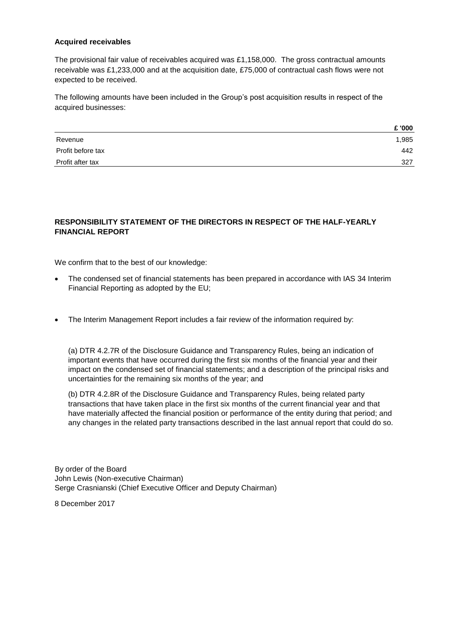#### **Acquired receivables**

The provisional fair value of receivables acquired was £1,158,000. The gross contractual amounts receivable was £1,233,000 and at the acquisition date, £75,000 of contractual cash flows were not expected to be received.

The following amounts have been included in the Group's post acquisition results in respect of the acquired businesses:

|                   | £ '000 |
|-------------------|--------|
| Revenue           | 1,985  |
| Profit before tax | 442    |
| Profit after tax  | 327    |

### **RESPONSIBILITY STATEMENT OF THE DIRECTORS IN RESPECT OF THE HALF-YEARLY FINANCIAL REPORT**

We confirm that to the best of our knowledge:

- The condensed set of financial statements has been prepared in accordance with IAS 34 Interim Financial Reporting as adopted by the EU;
- The Interim Management Report includes a fair review of the information required by:

(a) DTR 4.2.7R of the Disclosure Guidance and Transparency Rules, being an indication of important events that have occurred during the first six months of the financial year and their impact on the condensed set of financial statements; and a description of the principal risks and uncertainties for the remaining six months of the year; and

(b) DTR 4.2.8R of the Disclosure Guidance and Transparency Rules, being related party transactions that have taken place in the first six months of the current financial year and that have materially affected the financial position or performance of the entity during that period; and any changes in the related party transactions described in the last annual report that could do so.

By order of the Board John Lewis (Non-executive Chairman) Serge Crasnianski (Chief Executive Officer and Deputy Chairman)

8 December 2017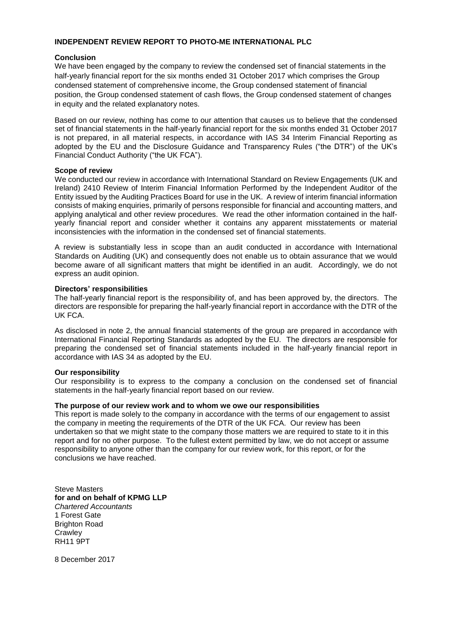#### **INDEPENDENT REVIEW REPORT TO PHOTO-ME INTERNATIONAL PLC**

#### **Conclusion**

We have been engaged by the company to review the condensed set of financial statements in the half-yearly financial report for the six months ended 31 October 2017 which comprises the Group condensed statement of comprehensive income, the Group condensed statement of financial position, the Group condensed statement of cash flows, the Group condensed statement of changes in equity and the related explanatory notes.

Based on our review, nothing has come to our attention that causes us to believe that the condensed set of financial statements in the half-yearly financial report for the six months ended 31 October 2017 is not prepared, in all material respects, in accordance with IAS 34 Interim Financial Reporting as adopted by the EU and the Disclosure Guidance and Transparency Rules ("the DTR") of the UK's Financial Conduct Authority ("the UK FCA").

#### **Scope of review**

We conducted our review in accordance with International Standard on Review Engagements (UK and Ireland) 2410 Review of Interim Financial Information Performed by the Independent Auditor of the Entity issued by the Auditing Practices Board for use in the UK. A review of interim financial information consists of making enquiries, primarily of persons responsible for financial and accounting matters, and applying analytical and other review procedures. We read the other information contained in the halfyearly financial report and consider whether it contains any apparent misstatements or material inconsistencies with the information in the condensed set of financial statements.

A review is substantially less in scope than an audit conducted in accordance with International Standards on Auditing (UK) and consequently does not enable us to obtain assurance that we would become aware of all significant matters that might be identified in an audit. Accordingly, we do not express an audit opinion.

#### **Directors' responsibilities**

The half-yearly financial report is the responsibility of, and has been approved by, the directors. The directors are responsible for preparing the half-yearly financial report in accordance with the DTR of the UK FCA.

As disclosed in note 2, the annual financial statements of the group are prepared in accordance with International Financial Reporting Standards as adopted by the EU. The directors are responsible for preparing the condensed set of financial statements included in the half-yearly financial report in accordance with IAS 34 as adopted by the EU.

#### **Our responsibility**

Our responsibility is to express to the company a conclusion on the condensed set of financial statements in the half-yearly financial report based on our review.

#### **The purpose of our review work and to whom we owe our responsibilities**

This report is made solely to the company in accordance with the terms of our engagement to assist the company in meeting the requirements of the DTR of the UK FCA. Our review has been undertaken so that we might state to the company those matters we are required to state to it in this report and for no other purpose. To the fullest extent permitted by law, we do not accept or assume responsibility to anyone other than the company for our review work, for this report, or for the conclusions we have reached.

Steve Masters **for and on behalf of KPMG LLP** *Chartered Accountants* 1 Forest Gate Brighton Road **Crawley** RH<sub>11</sub> 9PT

8 December 2017